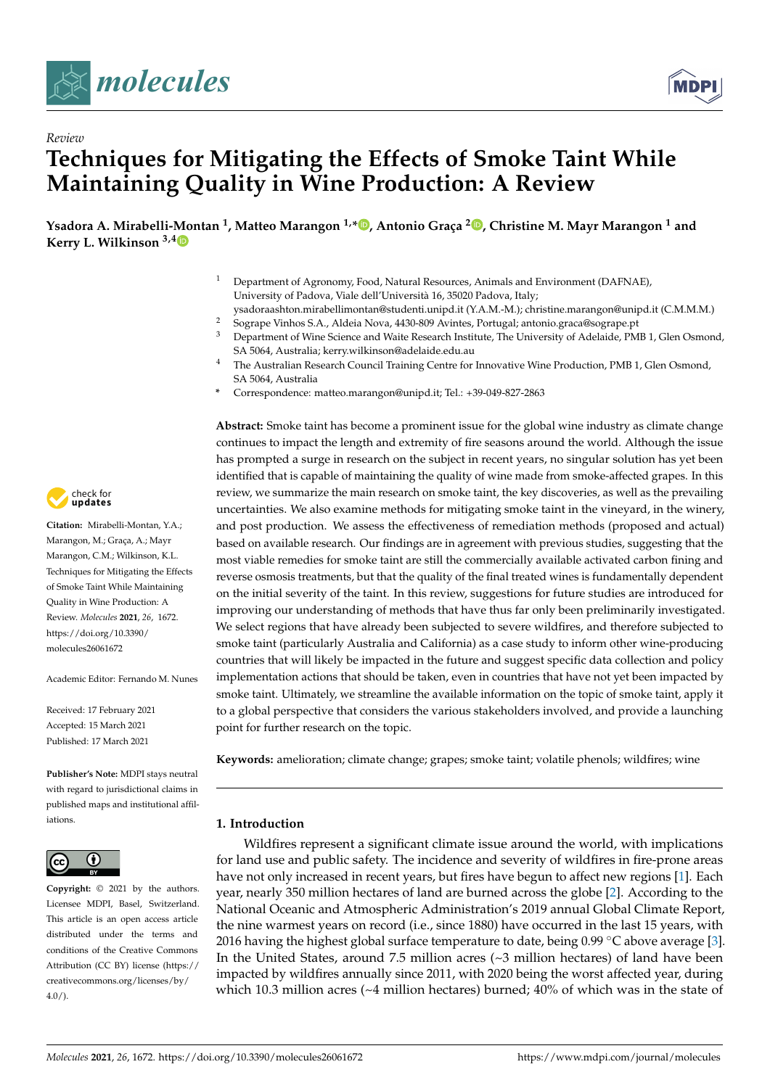



# *Review* **Techniques for Mitigating the Effects of Smoke Taint While Maintaining Quality in Wine Production: A Review**

**Ysadora A. Mirabelli-Montan <sup>1</sup> , Matteo Marangon 1,\* [,](https://orcid.org/0000-0001-5358-2428) Antonio Graça [2](https://orcid.org/0000-0003-1083-4386) , Christine M. Mayr Marangon <sup>1</sup> and Kerry L. Wilkinson 3,[4](https://orcid.org/0000-0001-6724-9837)**

- <sup>1</sup> Department of Agronomy, Food, Natural Resources, Animals and Environment (DAFNAE), University of Padova, Viale dell'Università 16, 35020 Padova, Italy;
- ysadoraashton.mirabellimontan@studenti.unipd.it (Y.A.M.-M.); christine.marangon@unipd.it (C.M.M.M.)
- <sup>2</sup> Sogrape Vinhos S.A., Aldeia Nova, 4430-809 Avintes, Portugal; antonio.graca@sogrape.pt
- <sup>3</sup> Department of Wine Science and Waite Research Institute, The University of Adelaide, PMB 1, Glen Osmond, SA 5064, Australia; kerry.wilkinson@adelaide.edu.au
- <sup>4</sup> The Australian Research Council Training Centre for Innovative Wine Production, PMB 1, Glen Osmond, SA 5064, Australia
- **\*** Correspondence: matteo.marangon@unipd.it; Tel.: +39-049-827-2863

**Abstract:** Smoke taint has become a prominent issue for the global wine industry as climate change continues to impact the length and extremity of fire seasons around the world. Although the issue has prompted a surge in research on the subject in recent years, no singular solution has yet been identified that is capable of maintaining the quality of wine made from smoke-affected grapes. In this review, we summarize the main research on smoke taint, the key discoveries, as well as the prevailing uncertainties. We also examine methods for mitigating smoke taint in the vineyard, in the winery, and post production. We assess the effectiveness of remediation methods (proposed and actual) based on available research. Our findings are in agreement with previous studies, suggesting that the most viable remedies for smoke taint are still the commercially available activated carbon fining and reverse osmosis treatments, but that the quality of the final treated wines is fundamentally dependent on the initial severity of the taint. In this review, suggestions for future studies are introduced for improving our understanding of methods that have thus far only been preliminarily investigated. We select regions that have already been subjected to severe wildfires, and therefore subjected to smoke taint (particularly Australia and California) as a case study to inform other wine-producing countries that will likely be impacted in the future and suggest specific data collection and policy implementation actions that should be taken, even in countries that have not yet been impacted by smoke taint. Ultimately, we streamline the available information on the topic of smoke taint, apply it to a global perspective that considers the various stakeholders involved, and provide a launching point for further research on the topic.

**Keywords:** amelioration; climate change; grapes; smoke taint; volatile phenols; wildfires; wine

## **1. Introduction**

Wildfires represent a significant climate issue around the world, with implications for land use and public safety. The incidence and severity of wildfires in fire-prone areas have not only increased in recent years, but fires have begun to affect new regions [\[1\]](#page-15-0). Each year, nearly 350 million hectares of land are burned across the globe [\[2\]](#page-15-1). According to the National Oceanic and Atmospheric Administration's 2019 annual Global Climate Report, the nine warmest years on record (i.e., since 1880) have occurred in the last 15 years, with 2016 having the highest global surface temperature to date, being  $0.99 \degree C$  above average [\[3\]](#page-15-2). In the United States, around 7.5 million acres  $({\sim}3$  million hectares) of land have been impacted by wildfires annually since 2011, with 2020 being the worst affected year, during which 10.3 million acres ( $\sim$ 4 million hectares) burned; 40% of which was in the state of



**Citation:** Mirabelli-Montan, Y.A.; Marangon, M.; Graça, A.; Mayr Marangon, C.M.; Wilkinson, K.L. Techniques for Mitigating the Effects of Smoke Taint While Maintaining Quality in Wine Production: A Review. *Molecules* **2021**, *26*, 1672. [https://doi.org/10.3390/](https://doi.org/10.3390/molecules26061672) [molecules26061672](https://doi.org/10.3390/molecules26061672)

Academic Editor: Fernando M. Nunes

Received: 17 February 2021 Accepted: 15 March 2021 Published: 17 March 2021

**Publisher's Note:** MDPI stays neutral with regard to jurisdictional claims in published maps and institutional affiliations.



**Copyright:** © 2021 by the authors. Licensee MDPI, Basel, Switzerland. This article is an open access article distributed under the terms and conditions of the Creative Commons Attribution (CC BY) license (https:/[/](https://creativecommons.org/licenses/by/4.0/) [creativecommons.org/licenses/by/](https://creativecommons.org/licenses/by/4.0/)  $4.0/$ ).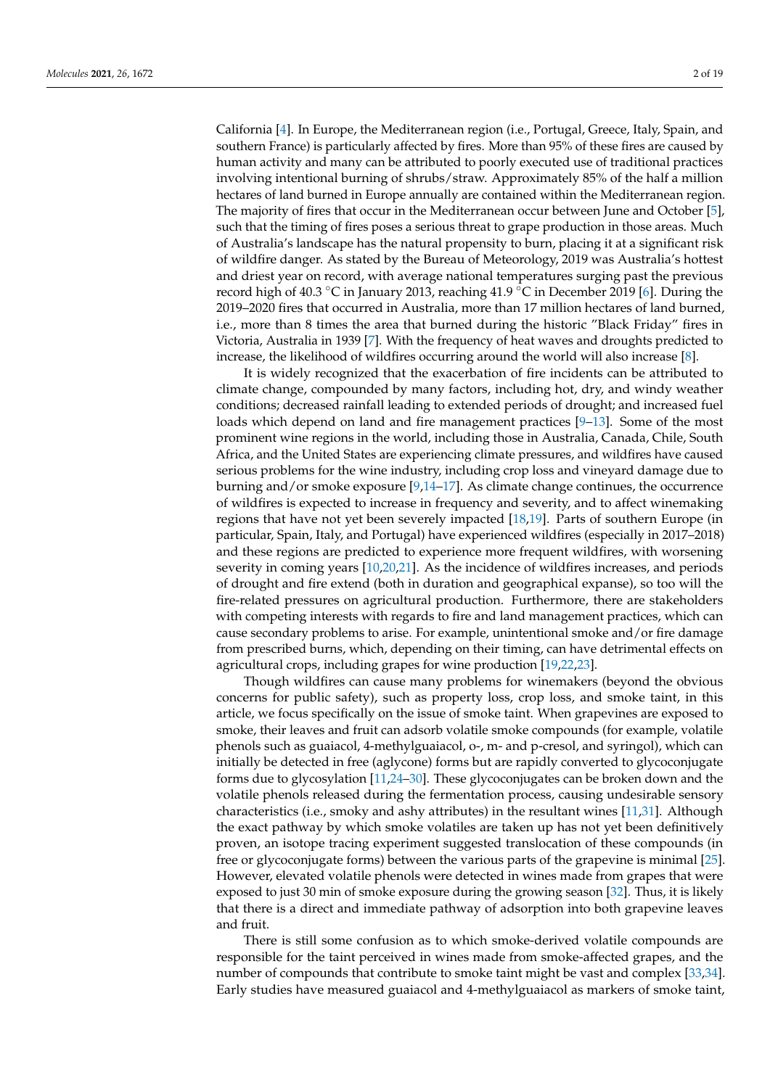California [\[4\]](#page-15-3). In Europe, the Mediterranean region (i.e., Portugal, Greece, Italy, Spain, and southern France) is particularly affected by fires. More than 95% of these fires are caused by human activity and many can be attributed to poorly executed use of traditional practices involving intentional burning of shrubs/straw. Approximately 85% of the half a million hectares of land burned in Europe annually are contained within the Mediterranean region. The majority of fires that occur in the Mediterranean occur between June and October [\[5\]](#page-15-4), such that the timing of fires poses a serious threat to grape production in those areas. Much of Australia's landscape has the natural propensity to burn, placing it at a significant risk of wildfire danger. As stated by the Bureau of Meteorology, 2019 was Australia's hottest and driest year on record, with average national temperatures surging past the previous record high of 40.3 ◦C in January 2013, reaching 41.9 ◦C in December 2019 [\[6\]](#page-15-5). During the 2019–2020 fires that occurred in Australia, more than 17 million hectares of land burned, i.e., more than 8 times the area that burned during the historic "Black Friday" fires in Victoria, Australia in 1939 [\[7\]](#page-15-6). With the frequency of heat waves and droughts predicted to increase, the likelihood of wildfires occurring around the world will also increase [\[8\]](#page-15-7).

It is widely recognized that the exacerbation of fire incidents can be attributed to climate change, compounded by many factors, including hot, dry, and windy weather conditions; decreased rainfall leading to extended periods of drought; and increased fuel loads which depend on land and fire management practices [\[9](#page-15-8)[–13\]](#page-15-9). Some of the most prominent wine regions in the world, including those in Australia, Canada, Chile, South Africa, and the United States are experiencing climate pressures, and wildfires have caused serious problems for the wine industry, including crop loss and vineyard damage due to burning and/or smoke exposure [\[9](#page-15-8)[,14](#page-15-10)[–17\]](#page-16-0). As climate change continues, the occurrence of wildfires is expected to increase in frequency and severity, and to affect winemaking regions that have not yet been severely impacted [\[18](#page-16-1)[,19\]](#page-16-2). Parts of southern Europe (in particular, Spain, Italy, and Portugal) have experienced wildfires (especially in 2017–2018) and these regions are predicted to experience more frequent wildfires, with worsening severity in coming years [\[10](#page-15-11)[,20,](#page-16-3)[21\]](#page-16-4). As the incidence of wildfires increases, and periods of drought and fire extend (both in duration and geographical expanse), so too will the fire-related pressures on agricultural production. Furthermore, there are stakeholders with competing interests with regards to fire and land management practices, which can cause secondary problems to arise. For example, unintentional smoke and/or fire damage from prescribed burns, which, depending on their timing, can have detrimental effects on agricultural crops, including grapes for wine production [\[19](#page-16-2)[,22](#page-16-5)[,23\]](#page-16-6).

Though wildfires can cause many problems for winemakers (beyond the obvious concerns for public safety), such as property loss, crop loss, and smoke taint, in this article, we focus specifically on the issue of smoke taint. When grapevines are exposed to smoke, their leaves and fruit can adsorb volatile smoke compounds (for example, volatile phenols such as guaiacol, 4-methylguaiacol, o-, m- and p-cresol, and syringol), which can initially be detected in free (aglycone) forms but are rapidly converted to glycoconjugate forms due to glycosylation [\[11](#page-15-12)[,24–](#page-16-7)[30\]](#page-16-8). These glycoconjugates can be broken down and the volatile phenols released during the fermentation process, causing undesirable sensory characteristics (i.e., smoky and ashy attributes) in the resultant wines [\[11](#page-15-12)[,31\]](#page-16-9). Although the exact pathway by which smoke volatiles are taken up has not yet been definitively proven, an isotope tracing experiment suggested translocation of these compounds (in free or glycoconjugate forms) between the various parts of the grapevine is minimal [\[25\]](#page-16-10). However, elevated volatile phenols were detected in wines made from grapes that were exposed to just 30 min of smoke exposure during the growing season [\[32\]](#page-16-11). Thus, it is likely that there is a direct and immediate pathway of adsorption into both grapevine leaves and fruit.

There is still some confusion as to which smoke-derived volatile compounds are responsible for the taint perceived in wines made from smoke-affected grapes, and the number of compounds that contribute to smoke taint might be vast and complex [\[33,](#page-16-12)[34\]](#page-16-13). Early studies have measured guaiacol and 4-methylguaiacol as markers of smoke taint,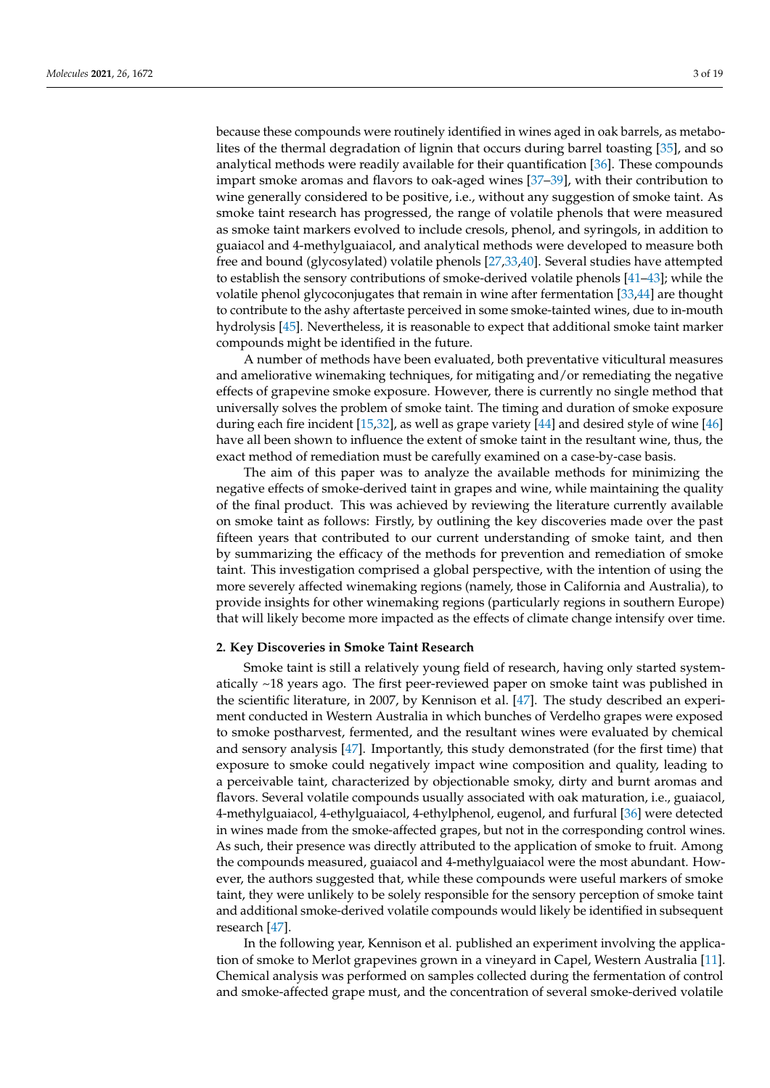because these compounds were routinely identified in wines aged in oak barrels, as metabolites of the thermal degradation of lignin that occurs during barrel toasting [\[35\]](#page-16-14), and so analytical methods were readily available for their quantification [\[36\]](#page-16-15). These compounds impart smoke aromas and flavors to oak-aged wines [\[37–](#page-16-16)[39\]](#page-16-17), with their contribution to wine generally considered to be positive, i.e., without any suggestion of smoke taint. As smoke taint research has progressed, the range of volatile phenols that were measured as smoke taint markers evolved to include cresols, phenol, and syringols, in addition to guaiacol and 4-methylguaiacol, and analytical methods were developed to measure both free and bound (glycosylated) volatile phenols [\[27](#page-16-18)[,33](#page-16-12)[,40\]](#page-16-19). Several studies have attempted to establish the sensory contributions of smoke-derived volatile phenols [\[41–](#page-16-20)[43\]](#page-17-0); while the volatile phenol glycoconjugates that remain in wine after fermentation [\[33](#page-16-12)[,44\]](#page-17-1) are thought to contribute to the ashy aftertaste perceived in some smoke-tainted wines, due to in-mouth hydrolysis [\[45\]](#page-17-2). Nevertheless, it is reasonable to expect that additional smoke taint marker compounds might be identified in the future.

A number of methods have been evaluated, both preventative viticultural measures and ameliorative winemaking techniques, for mitigating and/or remediating the negative effects of grapevine smoke exposure. However, there is currently no single method that universally solves the problem of smoke taint. The timing and duration of smoke exposure during each fire incident [\[15](#page-15-13)[,32\]](#page-16-11), as well as grape variety [\[44\]](#page-17-1) and desired style of wine [\[46\]](#page-17-3) have all been shown to influence the extent of smoke taint in the resultant wine, thus, the exact method of remediation must be carefully examined on a case-by-case basis.

The aim of this paper was to analyze the available methods for minimizing the negative effects of smoke-derived taint in grapes and wine, while maintaining the quality of the final product. This was achieved by reviewing the literature currently available on smoke taint as follows: Firstly, by outlining the key discoveries made over the past fifteen years that contributed to our current understanding of smoke taint, and then by summarizing the efficacy of the methods for prevention and remediation of smoke taint. This investigation comprised a global perspective, with the intention of using the more severely affected winemaking regions (namely, those in California and Australia), to provide insights for other winemaking regions (particularly regions in southern Europe) that will likely become more impacted as the effects of climate change intensify over time.

#### **2. Key Discoveries in Smoke Taint Research**

Smoke taint is still a relatively young field of research, having only started systematically ~18 years ago. The first peer-reviewed paper on smoke taint was published in the scientific literature, in 2007, by Kennison et al. [\[47\]](#page-17-4). The study described an experiment conducted in Western Australia in which bunches of Verdelho grapes were exposed to smoke postharvest, fermented, and the resultant wines were evaluated by chemical and sensory analysis [\[47\]](#page-17-4). Importantly, this study demonstrated (for the first time) that exposure to smoke could negatively impact wine composition and quality, leading to a perceivable taint, characterized by objectionable smoky, dirty and burnt aromas and flavors. Several volatile compounds usually associated with oak maturation, i.e., guaiacol, 4-methylguaiacol, 4-ethylguaiacol, 4-ethylphenol, eugenol, and furfural [\[36\]](#page-16-15) were detected in wines made from the smoke-affected grapes, but not in the corresponding control wines. As such, their presence was directly attributed to the application of smoke to fruit. Among the compounds measured, guaiacol and 4-methylguaiacol were the most abundant. However, the authors suggested that, while these compounds were useful markers of smoke taint, they were unlikely to be solely responsible for the sensory perception of smoke taint and additional smoke-derived volatile compounds would likely be identified in subsequent research [\[47\]](#page-17-4).

In the following year, Kennison et al. published an experiment involving the application of smoke to Merlot grapevines grown in a vineyard in Capel, Western Australia [\[11\]](#page-15-12). Chemical analysis was performed on samples collected during the fermentation of control and smoke-affected grape must, and the concentration of several smoke-derived volatile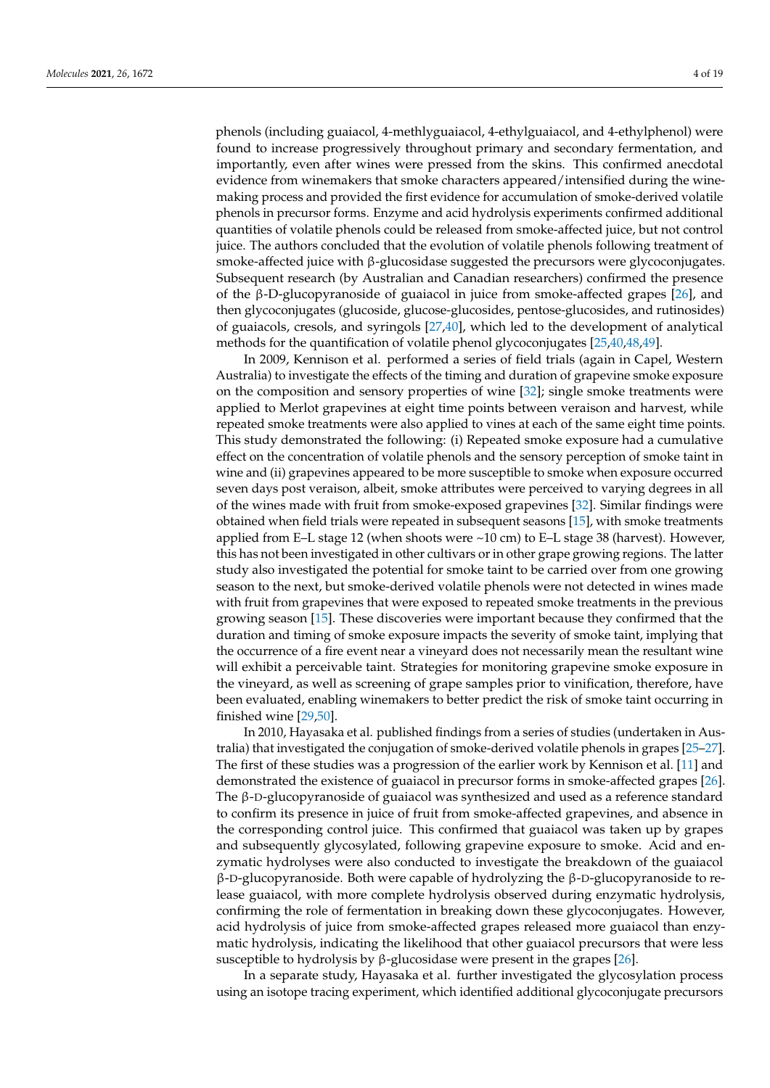phenols (including guaiacol, 4-methlyguaiacol, 4-ethylguaiacol, and 4-ethylphenol) were found to increase progressively throughout primary and secondary fermentation, and importantly, even after wines were pressed from the skins. This confirmed anecdotal evidence from winemakers that smoke characters appeared/intensified during the winemaking process and provided the first evidence for accumulation of smoke-derived volatile phenols in precursor forms. Enzyme and acid hydrolysis experiments confirmed additional quantities of volatile phenols could be released from smoke-affected juice, but not control juice. The authors concluded that the evolution of volatile phenols following treatment of smoke-affected juice with β-glucosidase suggested the precursors were glycoconjugates. Subsequent research (by Australian and Canadian researchers) confirmed the presence of the β-D-glucopyranoside of guaiacol in juice from smoke-affected grapes [\[26\]](#page-16-21), and then glycoconjugates (glucoside, glucose-glucosides, pentose-glucosides, and rutinosides) of guaiacols, cresols, and syringols [\[27](#page-16-18)[,40\]](#page-16-19), which led to the development of analytical methods for the quantification of volatile phenol glycoconjugates [\[25](#page-16-10)[,40](#page-16-19)[,48](#page-17-5)[,49\]](#page-17-6).

In 2009, Kennison et al. performed a series of field trials (again in Capel, Western Australia) to investigate the effects of the timing and duration of grapevine smoke exposure on the composition and sensory properties of wine [\[32\]](#page-16-11); single smoke treatments were applied to Merlot grapevines at eight time points between veraison and harvest, while repeated smoke treatments were also applied to vines at each of the same eight time points. This study demonstrated the following: (i) Repeated smoke exposure had a cumulative effect on the concentration of volatile phenols and the sensory perception of smoke taint in wine and (ii) grapevines appeared to be more susceptible to smoke when exposure occurred seven days post veraison, albeit, smoke attributes were perceived to varying degrees in all of the wines made with fruit from smoke-exposed grapevines [\[32\]](#page-16-11). Similar findings were obtained when field trials were repeated in subsequent seasons [\[15\]](#page-15-13), with smoke treatments applied from E–L stage 12 (when shoots were  $\sim$ 10 cm) to E–L stage 38 (harvest). However, this has not been investigated in other cultivars or in other grape growing regions. The latter study also investigated the potential for smoke taint to be carried over from one growing season to the next, but smoke-derived volatile phenols were not detected in wines made with fruit from grapevines that were exposed to repeated smoke treatments in the previous growing season [\[15\]](#page-15-13). These discoveries were important because they confirmed that the duration and timing of smoke exposure impacts the severity of smoke taint, implying that the occurrence of a fire event near a vineyard does not necessarily mean the resultant wine will exhibit a perceivable taint. Strategies for monitoring grapevine smoke exposure in the vineyard, as well as screening of grape samples prior to vinification, therefore, have been evaluated, enabling winemakers to better predict the risk of smoke taint occurring in finished wine [\[29](#page-16-22)[,50\]](#page-17-7).

In 2010, Hayasaka et al. published findings from a series of studies (undertaken in Australia) that investigated the conjugation of smoke-derived volatile phenols in grapes [\[25](#page-16-10)[–27\]](#page-16-18). The first of these studies was a progression of the earlier work by Kennison et al. [\[11\]](#page-15-12) and demonstrated the existence of guaiacol in precursor forms in smoke-affected grapes [\[26\]](#page-16-21). The β-D-glucopyranoside of guaiacol was synthesized and used as a reference standard to confirm its presence in juice of fruit from smoke-affected grapevines, and absence in the corresponding control juice. This confirmed that guaiacol was taken up by grapes and subsequently glycosylated, following grapevine exposure to smoke. Acid and enzymatic hydrolyses were also conducted to investigate the breakdown of the guaiacol β-D-glucopyranoside. Both were capable of hydrolyzing the β-D-glucopyranoside to release guaiacol, with more complete hydrolysis observed during enzymatic hydrolysis, confirming the role of fermentation in breaking down these glycoconjugates. However, acid hydrolysis of juice from smoke-affected grapes released more guaiacol than enzymatic hydrolysis, indicating the likelihood that other guaiacol precursors that were less susceptible to hydrolysis by β-glucosidase were present in the grapes  $[26]$ .

In a separate study, Hayasaka et al. further investigated the glycosylation process using an isotope tracing experiment, which identified additional glycoconjugate precursors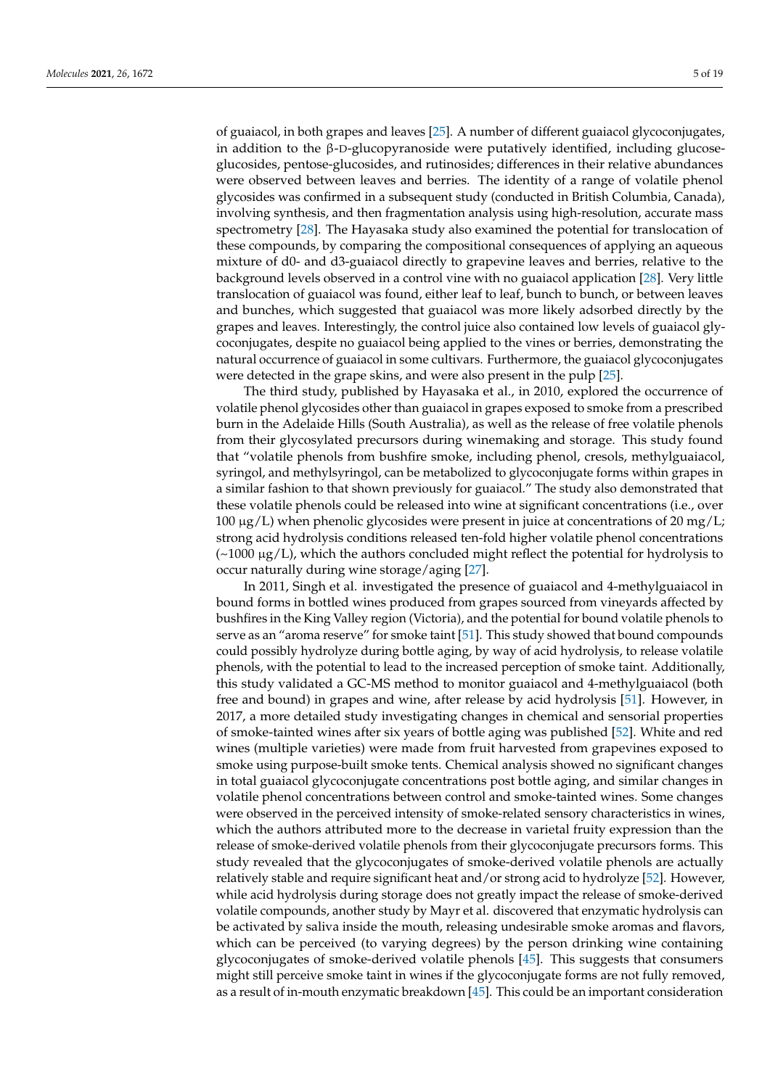of guaiacol, in both grapes and leaves [\[25\]](#page-16-10). A number of different guaiacol glycoconjugates, in addition to the β-D-glucopyranoside were putatively identified, including glucoseglucosides, pentose-glucosides, and rutinosides; differences in their relative abundances were observed between leaves and berries. The identity of a range of volatile phenol glycosides was confirmed in a subsequent study (conducted in British Columbia, Canada), involving synthesis, and then fragmentation analysis using high-resolution, accurate mass spectrometry [\[28\]](#page-16-23). The Hayasaka study also examined the potential for translocation of these compounds, by comparing the compositional consequences of applying an aqueous mixture of d0- and d3-guaiacol directly to grapevine leaves and berries, relative to the background levels observed in a control vine with no guaiacol application [\[28\]](#page-16-23). Very little translocation of guaiacol was found, either leaf to leaf, bunch to bunch, or between leaves and bunches, which suggested that guaiacol was more likely adsorbed directly by the grapes and leaves. Interestingly, the control juice also contained low levels of guaiacol glycoconjugates, despite no guaiacol being applied to the vines or berries, demonstrating the natural occurrence of guaiacol in some cultivars. Furthermore, the guaiacol glycoconjugates were detected in the grape skins, and were also present in the pulp [\[25\]](#page-16-10).

The third study, published by Hayasaka et al., in 2010, explored the occurrence of volatile phenol glycosides other than guaiacol in grapes exposed to smoke from a prescribed burn in the Adelaide Hills (South Australia), as well as the release of free volatile phenols from their glycosylated precursors during winemaking and storage. This study found that "volatile phenols from bushfire smoke, including phenol, cresols, methylguaiacol, syringol, and methylsyringol, can be metabolized to glycoconjugate forms within grapes in a similar fashion to that shown previously for guaiacol." The study also demonstrated that these volatile phenols could be released into wine at significant concentrations (i.e., over  $100 \mu g/L$ ) when phenolic glycosides were present in juice at concentrations of 20 mg/L; strong acid hydrolysis conditions released ten-fold higher volatile phenol concentrations  $(\sim 1000 \ \mu g/L)$ , which the authors concluded might reflect the potential for hydrolysis to occur naturally during wine storage/aging [\[27\]](#page-16-18).

In 2011, Singh et al. investigated the presence of guaiacol and 4-methylguaiacol in bound forms in bottled wines produced from grapes sourced from vineyards affected by bushfires in the King Valley region (Victoria), and the potential for bound volatile phenols to serve as an "aroma reserve" for smoke taint [\[51\]](#page-17-8). This study showed that bound compounds could possibly hydrolyze during bottle aging, by way of acid hydrolysis, to release volatile phenols, with the potential to lead to the increased perception of smoke taint. Additionally, this study validated a GC-MS method to monitor guaiacol and 4-methylguaiacol (both free and bound) in grapes and wine, after release by acid hydrolysis [\[51\]](#page-17-8). However, in 2017, a more detailed study investigating changes in chemical and sensorial properties of smoke-tainted wines after six years of bottle aging was published [\[52\]](#page-17-9). White and red wines (multiple varieties) were made from fruit harvested from grapevines exposed to smoke using purpose-built smoke tents. Chemical analysis showed no significant changes in total guaiacol glycoconjugate concentrations post bottle aging, and similar changes in volatile phenol concentrations between control and smoke-tainted wines. Some changes were observed in the perceived intensity of smoke-related sensory characteristics in wines, which the authors attributed more to the decrease in varietal fruity expression than the release of smoke-derived volatile phenols from their glycoconjugate precursors forms. This study revealed that the glycoconjugates of smoke-derived volatile phenols are actually relatively stable and require significant heat and/or strong acid to hydrolyze [\[52\]](#page-17-9). However, while acid hydrolysis during storage does not greatly impact the release of smoke-derived volatile compounds, another study by Mayr et al. discovered that enzymatic hydrolysis can be activated by saliva inside the mouth, releasing undesirable smoke aromas and flavors, which can be perceived (to varying degrees) by the person drinking wine containing glycoconjugates of smoke-derived volatile phenols [\[45\]](#page-17-2). This suggests that consumers might still perceive smoke taint in wines if the glycoconjugate forms are not fully removed, as a result of in-mouth enzymatic breakdown [\[45\]](#page-17-2). This could be an important consideration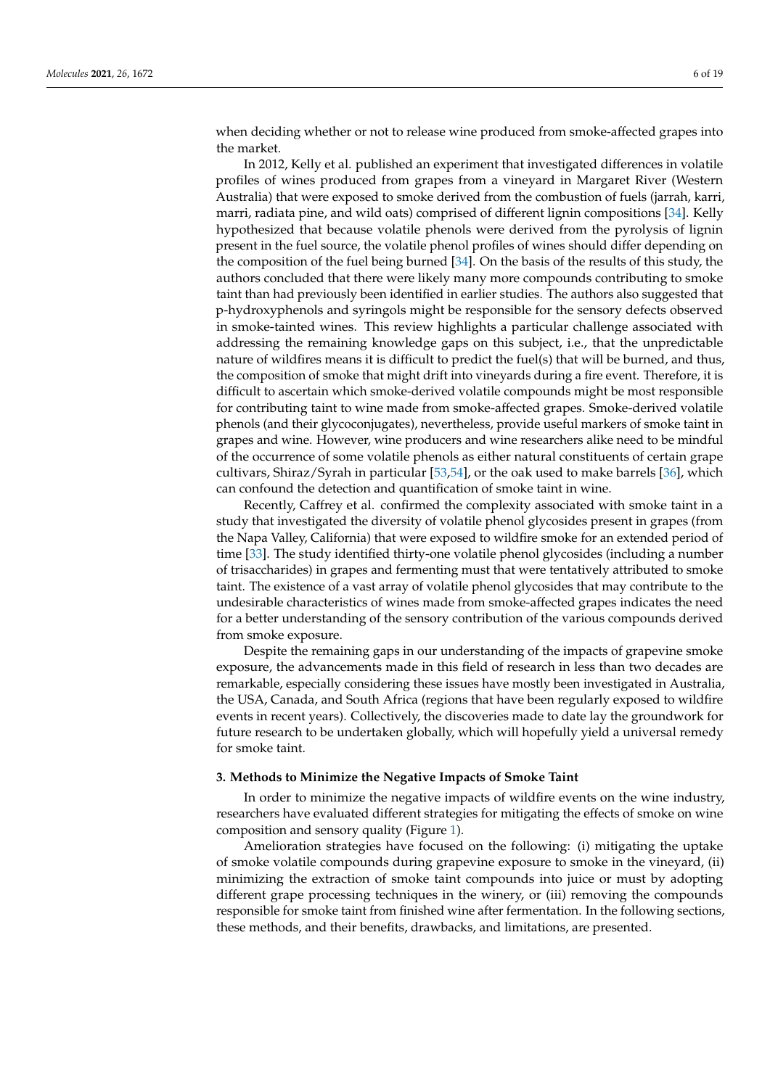when deciding whether or not to release wine produced from smoke-affected grapes into the market.

In 2012, Kelly et al. published an experiment that investigated differences in volatile profiles of wines produced from grapes from a vineyard in Margaret River (Western Australia) that were exposed to smoke derived from the combustion of fuels (jarrah, karri, marri, radiata pine, and wild oats) comprised of different lignin compositions [\[34\]](#page-16-13). Kelly hypothesized that because volatile phenols were derived from the pyrolysis of lignin present in the fuel source, the volatile phenol profiles of wines should differ depending on the composition of the fuel being burned [\[34\]](#page-16-13). On the basis of the results of this study, the authors concluded that there were likely many more compounds contributing to smoke taint than had previously been identified in earlier studies. The authors also suggested that p-hydroxyphenols and syringols might be responsible for the sensory defects observed in smoke-tainted wines. This review highlights a particular challenge associated with addressing the remaining knowledge gaps on this subject, i.e., that the unpredictable nature of wildfires means it is difficult to predict the fuel(s) that will be burned, and thus, the composition of smoke that might drift into vineyards during a fire event. Therefore, it is difficult to ascertain which smoke-derived volatile compounds might be most responsible for contributing taint to wine made from smoke-affected grapes. Smoke-derived volatile phenols (and their glycoconjugates), nevertheless, provide useful markers of smoke taint in grapes and wine. However, wine producers and wine researchers alike need to be mindful of the occurrence of some volatile phenols as either natural constituents of certain grape cultivars, Shiraz/Syrah in particular [\[53](#page-17-10)[,54\]](#page-17-11), or the oak used to make barrels [\[36\]](#page-16-15), which can confound the detection and quantification of smoke taint in wine.

Recently, Caffrey et al. confirmed the complexity associated with smoke taint in a study that investigated the diversity of volatile phenol glycosides present in grapes (from the Napa Valley, California) that were exposed to wildfire smoke for an extended period of time [\[33\]](#page-16-12). The study identified thirty-one volatile phenol glycosides (including a number of trisaccharides) in grapes and fermenting must that were tentatively attributed to smoke taint. The existence of a vast array of volatile phenol glycosides that may contribute to the undesirable characteristics of wines made from smoke-affected grapes indicates the need for a better understanding of the sensory contribution of the various compounds derived from smoke exposure.

Despite the remaining gaps in our understanding of the impacts of grapevine smoke exposure, the advancements made in this field of research in less than two decades are remarkable, especially considering these issues have mostly been investigated in Australia, the USA, Canada, and South Africa (regions that have been regularly exposed to wildfire events in recent years). Collectively, the discoveries made to date lay the groundwork for future research to be undertaken globally, which will hopefully yield a universal remedy for smoke taint.

#### **3. Methods to Minimize the Negative Impacts of Smoke Taint**

In order to minimize the negative impacts of wildfire events on the wine industry, researchers have evaluated different strategies for mitigating the effects of smoke on wine composition and sensory quality (Figure [1\)](#page-6-0).

Amelioration strategies have focused on the following: (i) mitigating the uptake of smoke volatile compounds during grapevine exposure to smoke in the vineyard, (ii) minimizing the extraction of smoke taint compounds into juice or must by adopting different grape processing techniques in the winery, or (iii) removing the compounds responsible for smoke taint from finished wine after fermentation. In the following sections, these methods, and their benefits, drawbacks, and limitations, are presented.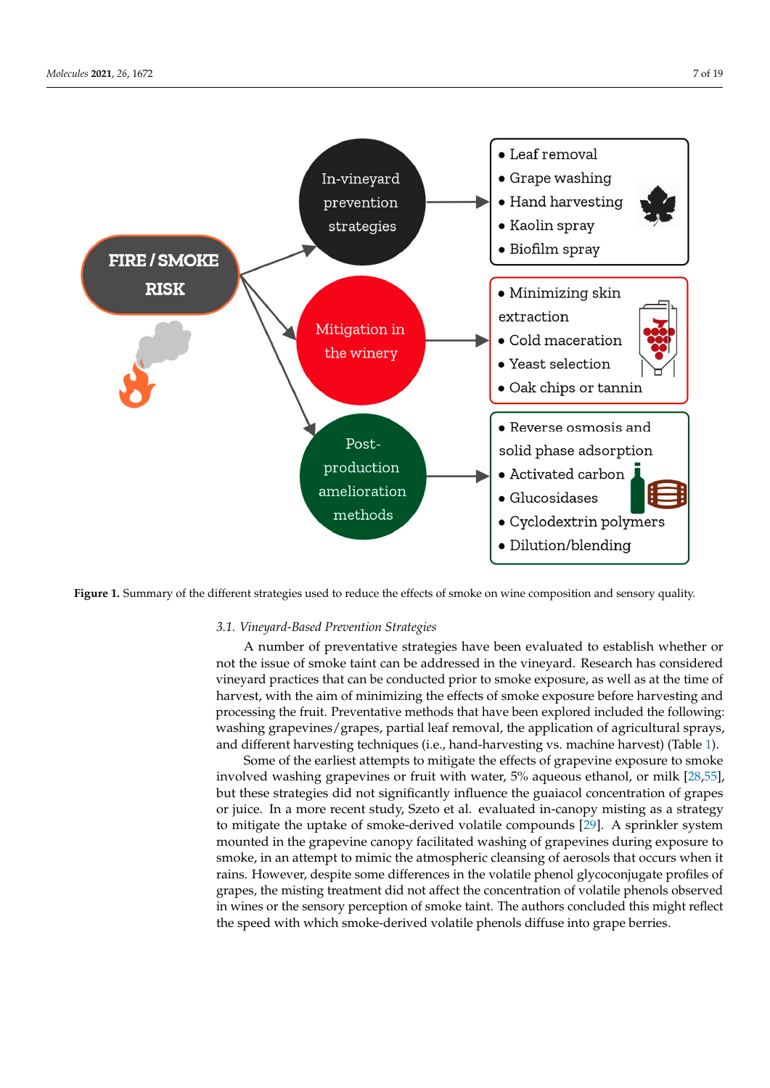<span id="page-6-0"></span>

**Figure 1.** Summary of the different strategies used to reduce the effects of smoke on wine composition and sensory quality.

## *3.1. Vineyard-Based Prevention Strategies*

A number of preventative strategies have been evaluated to establish whether or not the issue of shoke tank can be addressed in the vineyard, Research has considered<br>vineyard practices that can be conducted prior to smoke exposure, as well as at the time of harvest, with the aim of minimizing the effects of smoke exposure before harvesting and processing the fruit. Preventative methods that have been explored included the following: washing grapevines/grapes, partial leaf removal, the application of agricultural sprays, and different harvesting techniques (i.e., hand-harvesting vs. machine harvest) (Table [1\)](#page-7-0).<br>Come of the position of themselves in without the effects of executive components on the exclu not the issue of smoke taint can be addressed in the vineyard. Research has considered

but these strategies did not significantly influence the guaiacol concentration of grapes or juice. In a more recent study, Szeto et al. evaluated in-canopy misting as a strategy to mutgate the uplake of shoke-derived volatile compounds [27]. A sprinkler system mounted in the grapevine canopy facilitated washing of grapevines during exposure to smoke, in an attempt to mimic the atmospheric cleansing of aerosols that occurs when it rains. However, despite some differences in the volatile phenol glycoconjugate profiles of grapes, the misting treatment did not affect the concentration of volatile phenols observed in wines or the sensory perception of smoke taint. The authors concluded this might reflect<br>the sensor besith reliable and to derive developed the shown beliffered into agree besites. the speed with which smoke-derived volatile phenols diffuse into grape berries. Some of the earliest attempts to mitigate the effects of grapevine exposure to smoke involved washing grapevines or fruit with water, 5% aqueous ethanol, or milk [\[28,](#page-16-23)[55\]](#page-17-12), to mitigate the uptake of smoke-derived volatile compounds [\[29\]](#page-16-22). A sprinkler system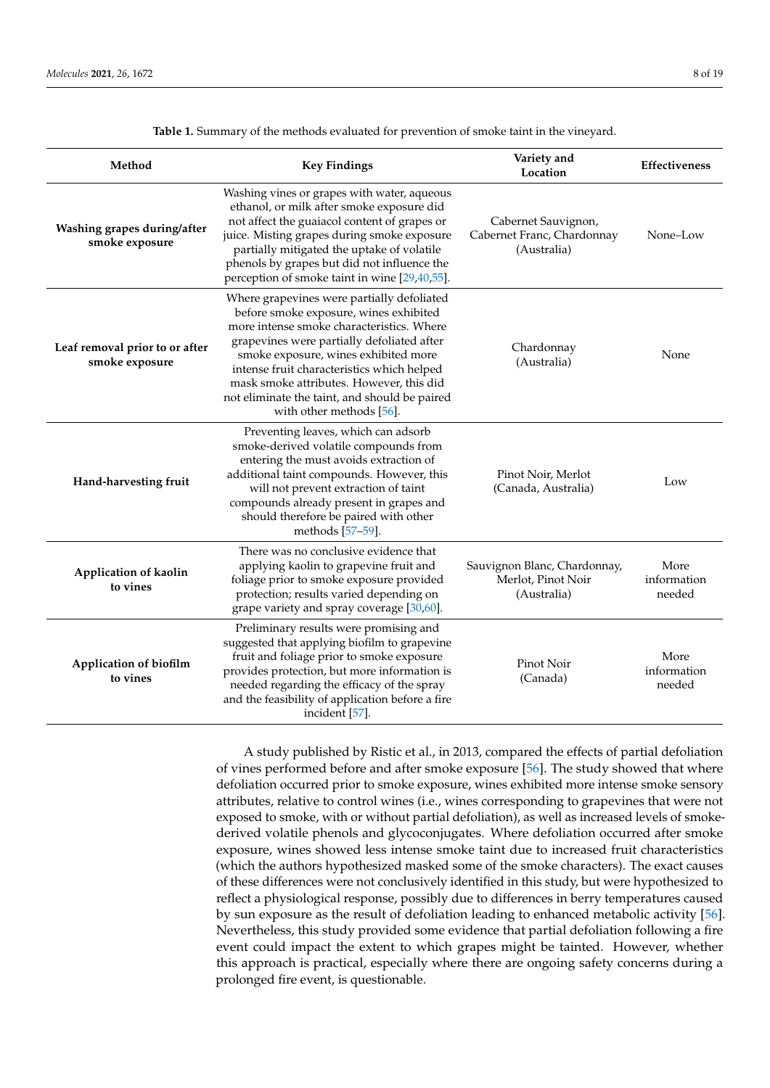<span id="page-7-0"></span>

| Method                                           | <b>Key Findings</b>                                                                                                                                                                                                                                                                                                                                                                            | Variety and<br>Location                                           | Effectiveness                 |
|--------------------------------------------------|------------------------------------------------------------------------------------------------------------------------------------------------------------------------------------------------------------------------------------------------------------------------------------------------------------------------------------------------------------------------------------------------|-------------------------------------------------------------------|-------------------------------|
| Washing grapes during/after<br>smoke exposure    | Washing vines or grapes with water, aqueous<br>ethanol, or milk after smoke exposure did<br>not affect the guaiacol content of grapes or<br>juice. Misting grapes during smoke exposure<br>partially mitigated the uptake of volatile<br>phenols by grapes but did not influence the<br>perception of smoke taint in wine [29,40,55].                                                          | Cabernet Sauvignon,<br>Cabernet Franc, Chardonnay<br>(Australia)  | None-Low                      |
| Leaf removal prior to or after<br>smoke exposure | Where grapevines were partially defoliated<br>before smoke exposure, wines exhibited<br>more intense smoke characteristics. Where<br>grapevines were partially defoliated after<br>smoke exposure, wines exhibited more<br>intense fruit characteristics which helped<br>mask smoke attributes. However, this did<br>not eliminate the taint, and should be paired<br>with other methods [56]. | Chardonnay<br>(Australia)                                         | None                          |
| Hand-harvesting fruit                            | Preventing leaves, which can adsorb<br>smoke-derived volatile compounds from<br>entering the must avoids extraction of<br>additional taint compounds. However, this<br>will not prevent extraction of taint<br>compounds already present in grapes and<br>should therefore be paired with other<br>methods [57-59].                                                                            | Pinot Noir, Merlot<br>(Canada, Australia)                         | Low                           |
| Application of kaolin<br>to vines                | There was no conclusive evidence that<br>applying kaolin to grapevine fruit and<br>foliage prior to smoke exposure provided<br>protection; results varied depending on<br>grape variety and spray coverage [30,60].                                                                                                                                                                            | Sauvignon Blanc, Chardonnay,<br>Merlot, Pinot Noir<br>(Australia) | More<br>information<br>needed |
| Application of biofilm<br>to vines               | Preliminary results were promising and<br>suggested that applying biofilm to grapevine<br>fruit and foliage prior to smoke exposure<br>provides protection, but more information is<br>needed regarding the efficacy of the spray<br>and the feasibility of application before a fire<br>incident [57].                                                                                        | Pinot Noir<br>(Canada)                                            | More<br>information<br>needed |

**Table 1.** Summary of the methods evaluated for prevention of smoke taint in the vineyard.

A study published by Ristic et al., in 2013, compared the effects of partial defoliation of vines performed before and after smoke exposure [\[56\]](#page-17-13). The study showed that where defoliation occurred prior to smoke exposure, wines exhibited more intense smoke sensory attributes, relative to control wines (i.e., wines corresponding to grapevines that were not exposed to smoke, with or without partial defoliation), as well as increased levels of smokederived volatile phenols and glycoconjugates. Where defoliation occurred after smoke exposure, wines showed less intense smoke taint due to increased fruit characteristics (which the authors hypothesized masked some of the smoke characters). The exact causes of these differences were not conclusively identified in this study, but were hypothesized to reflect a physiological response, possibly due to differences in berry temperatures caused by sun exposure as the result of defoliation leading to enhanced metabolic activity [\[56\]](#page-17-13). Nevertheless, this study provided some evidence that partial defoliation following a fire event could impact the extent to which grapes might be tainted. However, whether this approach is practical, especially where there are ongoing safety concerns during a prolonged fire event, is questionable.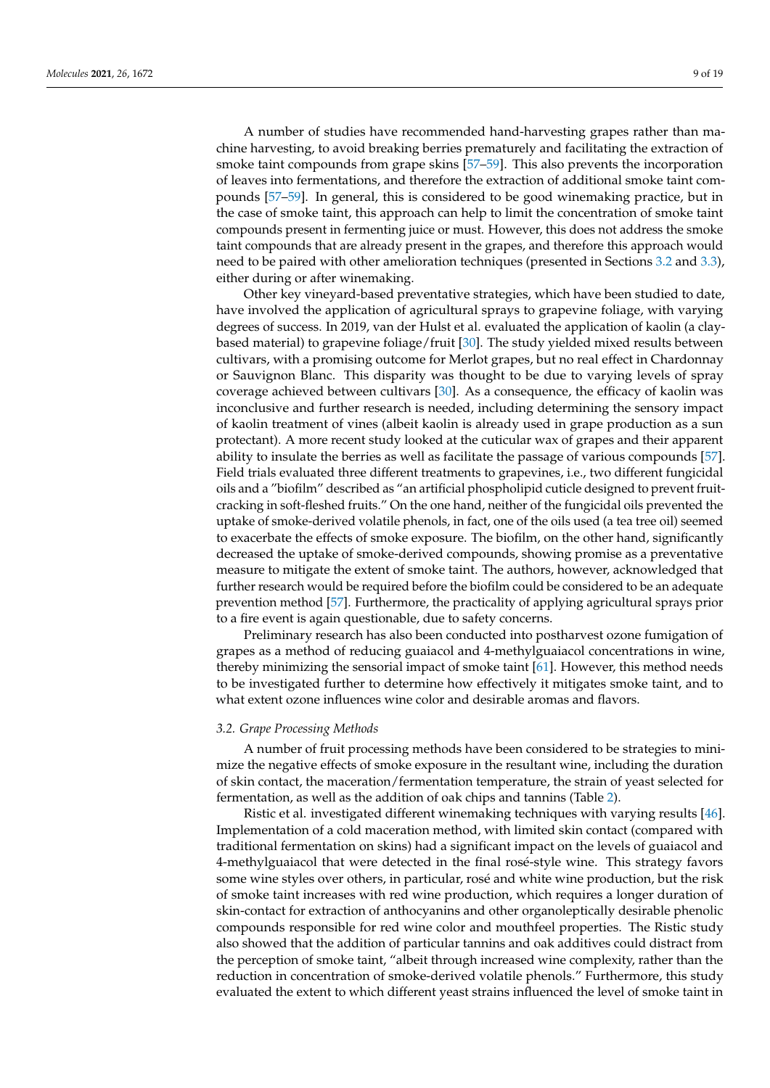A number of studies have recommended hand-harvesting grapes rather than machine harvesting, to avoid breaking berries prematurely and facilitating the extraction of smoke taint compounds from grape skins [\[57](#page-17-14)[–59\]](#page-17-15). This also prevents the incorporation of leaves into fermentations, and therefore the extraction of additional smoke taint compounds [\[57–](#page-17-14)[59\]](#page-17-15). In general, this is considered to be good winemaking practice, but in the case of smoke taint, this approach can help to limit the concentration of smoke taint compounds present in fermenting juice or must. However, this does not address the smoke taint compounds that are already present in the grapes, and therefore this approach would need to be paired with other amelioration techniques (presented in Sections [3.2](#page-8-0) and [3.3\)](#page-9-0),

either during or after winemaking. Other key vineyard-based preventative strategies, which have been studied to date, have involved the application of agricultural sprays to grapevine foliage, with varying degrees of success. In 2019, van der Hulst et al. evaluated the application of kaolin (a claybased material) to grapevine foliage/fruit [\[30\]](#page-16-8). The study yielded mixed results between cultivars, with a promising outcome for Merlot grapes, but no real effect in Chardonnay or Sauvignon Blanc. This disparity was thought to be due to varying levels of spray coverage achieved between cultivars [\[30\]](#page-16-8). As a consequence, the efficacy of kaolin was inconclusive and further research is needed, including determining the sensory impact of kaolin treatment of vines (albeit kaolin is already used in grape production as a sun protectant). A more recent study looked at the cuticular wax of grapes and their apparent ability to insulate the berries as well as facilitate the passage of various compounds [\[57\]](#page-17-14). Field trials evaluated three different treatments to grapevines, i.e., two different fungicidal oils and a "biofilm" described as "an artificial phospholipid cuticle designed to prevent fruitcracking in soft-fleshed fruits." On the one hand, neither of the fungicidal oils prevented the uptake of smoke-derived volatile phenols, in fact, one of the oils used (a tea tree oil) seemed to exacerbate the effects of smoke exposure. The biofilm, on the other hand, significantly decreased the uptake of smoke-derived compounds, showing promise as a preventative measure to mitigate the extent of smoke taint. The authors, however, acknowledged that further research would be required before the biofilm could be considered to be an adequate prevention method [\[57\]](#page-17-14). Furthermore, the practicality of applying agricultural sprays prior to a fire event is again questionable, due to safety concerns.

Preliminary research has also been conducted into postharvest ozone fumigation of grapes as a method of reducing guaiacol and 4-methylguaiacol concentrations in wine, thereby minimizing the sensorial impact of smoke taint [\[61\]](#page-17-17). However, this method needs to be investigated further to determine how effectively it mitigates smoke taint, and to what extent ozone influences wine color and desirable aromas and flavors.

## <span id="page-8-0"></span>*3.2. Grape Processing Methods*

A number of fruit processing methods have been considered to be strategies to minimize the negative effects of smoke exposure in the resultant wine, including the duration of skin contact, the maceration/fermentation temperature, the strain of yeast selected for fermentation, as well as the addition of oak chips and tannins (Table [2\)](#page-9-1).

Ristic et al. investigated different winemaking techniques with varying results [\[46\]](#page-17-3). Implementation of a cold maceration method, with limited skin contact (compared with traditional fermentation on skins) had a significant impact on the levels of guaiacol and 4-methylguaiacol that were detected in the final rosé-style wine. This strategy favors some wine styles over others, in particular, rosé and white wine production, but the risk of smoke taint increases with red wine production, which requires a longer duration of skin-contact for extraction of anthocyanins and other organoleptically desirable phenolic compounds responsible for red wine color and mouthfeel properties. The Ristic study also showed that the addition of particular tannins and oak additives could distract from the perception of smoke taint, "albeit through increased wine complexity, rather than the reduction in concentration of smoke-derived volatile phenols." Furthermore, this study evaluated the extent to which different yeast strains influenced the level of smoke taint in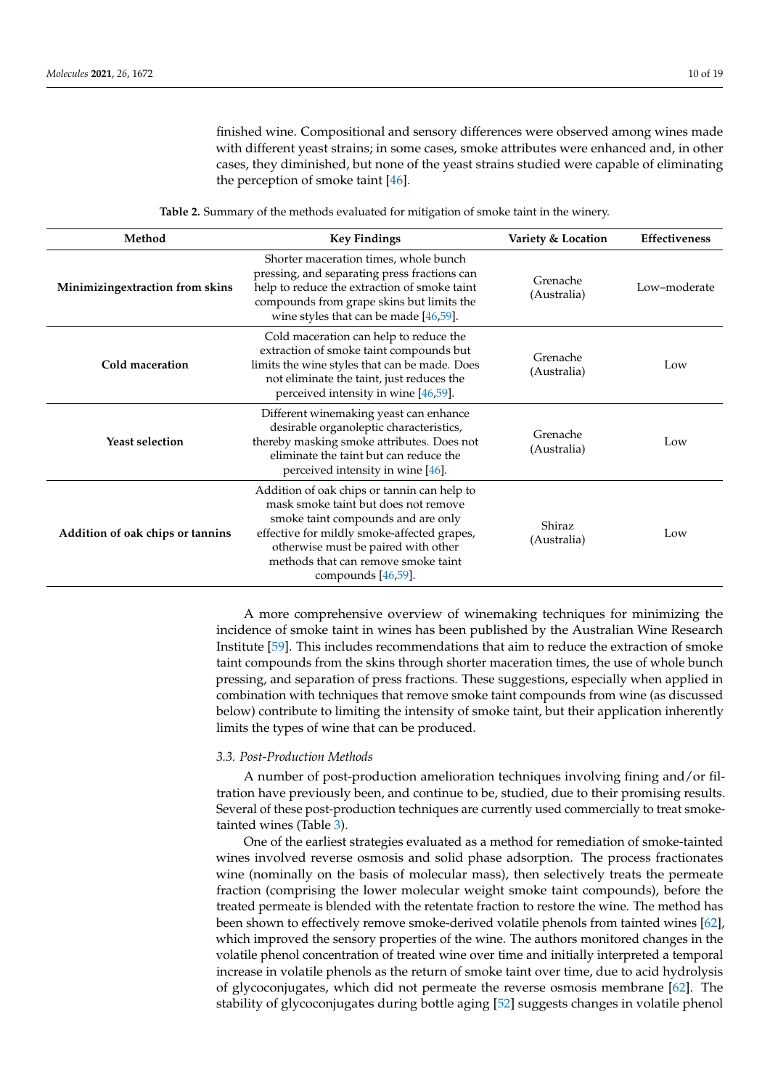finished wine. Compositional and sensory differences were observed among wines made with different yeast strains; in some cases, smoke attributes were enhanced and, in other cases, they diminished, but none of the yeast strains studied were capable of eliminating the perception of smoke taint [\[46\]](#page-17-3).

<span id="page-9-1"></span>

| Method                           | <b>Key Findings</b>                                                                                                                                                                                                                                                             | Variety & Location      | <b>Effectiveness</b> |
|----------------------------------|---------------------------------------------------------------------------------------------------------------------------------------------------------------------------------------------------------------------------------------------------------------------------------|-------------------------|----------------------|
| Minimizingextraction from skins  | Shorter maceration times, whole bunch<br>pressing, and separating press fractions can<br>help to reduce the extraction of smoke taint<br>compounds from grape skins but limits the<br>wine styles that can be made $[46,59]$ .                                                  | Grenache<br>(Australia) | Low-moderate         |
| Cold maceration                  | Cold maceration can help to reduce the<br>extraction of smoke taint compounds but<br>limits the wine styles that can be made. Does<br>not eliminate the taint, just reduces the<br>perceived intensity in wine [46,59].                                                         | Grenache<br>(Australia) | Low                  |
| <b>Yeast selection</b>           | Different winemaking yeast can enhance<br>desirable organoleptic characteristics,<br>thereby masking smoke attributes. Does not<br>eliminate the taint but can reduce the<br>perceived intensity in wine $[46]$ .                                                               | Grenache<br>(Australia) | Low                  |
| Addition of oak chips or tannins | Addition of oak chips or tannin can help to<br>mask smoke taint but does not remove<br>smoke taint compounds and are only<br>effective for mildly smoke-affected grapes,<br>otherwise must be paired with other<br>methods that can remove smoke taint<br>compounds $[46,59]$ . | Shiraz<br>(Australia)   | Low                  |

A more comprehensive overview of winemaking techniques for minimizing the incidence of smoke taint in wines has been published by the Australian Wine Research Institute [\[59\]](#page-17-15). This includes recommendations that aim to reduce the extraction of smoke taint compounds from the skins through shorter maceration times, the use of whole bunch pressing, and separation of press fractions. These suggestions, especially when applied in combination with techniques that remove smoke taint compounds from wine (as discussed below) contribute to limiting the intensity of smoke taint, but their application inherently limits the types of wine that can be produced.

## <span id="page-9-0"></span>*3.3. Post-Production Methods*

A number of post-production amelioration techniques involving fining and/or filtration have previously been, and continue to be, studied, due to their promising results. Several of these post-production techniques are currently used commercially to treat smoketainted wines (Table [3\)](#page-10-0).

One of the earliest strategies evaluated as a method for remediation of smoke-tainted wines involved reverse osmosis and solid phase adsorption. The process fractionates wine (nominally on the basis of molecular mass), then selectively treats the permeate fraction (comprising the lower molecular weight smoke taint compounds), before the treated permeate is blended with the retentate fraction to restore the wine. The method has been shown to effectively remove smoke-derived volatile phenols from tainted wines [\[62\]](#page-17-18), which improved the sensory properties of the wine. The authors monitored changes in the volatile phenol concentration of treated wine over time and initially interpreted a temporal increase in volatile phenols as the return of smoke taint over time, due to acid hydrolysis of glycoconjugates, which did not permeate the reverse osmosis membrane [\[62\]](#page-17-18). The stability of glycoconjugates during bottle aging [\[52\]](#page-17-9) suggests changes in volatile phenol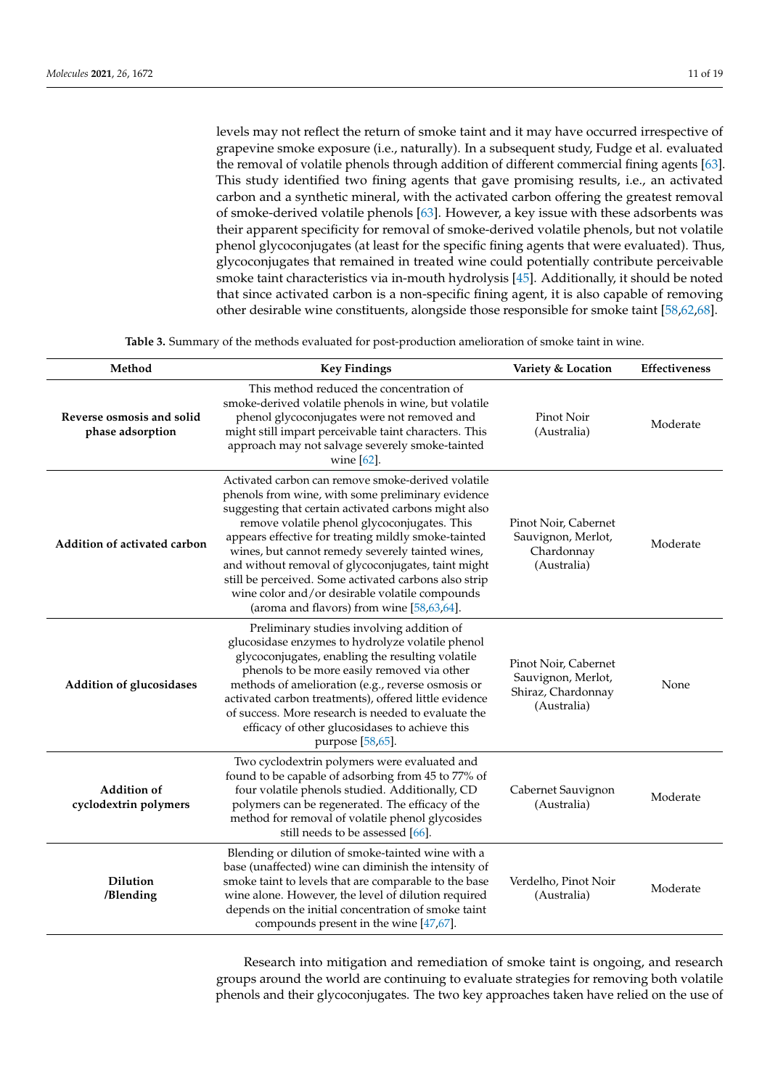levels may not reflect the return of smoke taint and it may have occurred irrespective of grapevine smoke exposure (i.e., naturally). In a subsequent study, Fudge et al. evaluated the removal of volatile phenols through addition of different commercial fining agents [\[63\]](#page-17-19). This study identified two fining agents that gave promising results, i.e., an activated carbon and a synthetic mineral, with the activated carbon offering the greatest removal of smoke-derived volatile phenols [\[63\]](#page-17-19). However, a key issue with these adsorbents was their apparent specificity for removal of smoke-derived volatile phenols, but not volatile phenol glycoconjugates (at least for the specific fining agents that were evaluated). Thus, glycoconjugates that remained in treated wine could potentially contribute perceivable smoke taint characteristics via in-mouth hydrolysis [\[45\]](#page-17-2). Additionally, it should be noted that since activated carbon is a non-specific fining agent, it is also capable of removing other desirable wine constituents, alongside those responsible for smoke taint [\[58](#page-17-20)[,62](#page-17-18)[,68\]](#page-18-0).

**Table 3.** Summary of the methods evaluated for post-production amelioration of smoke taint in wine.

<span id="page-10-0"></span>

| Method                                        | <b>Key Findings</b>                                                                                                                                                                                                                                                                                                                                                                                                                                                                                                                       | Variety & Location                                                              | Effectiveness |
|-----------------------------------------------|-------------------------------------------------------------------------------------------------------------------------------------------------------------------------------------------------------------------------------------------------------------------------------------------------------------------------------------------------------------------------------------------------------------------------------------------------------------------------------------------------------------------------------------------|---------------------------------------------------------------------------------|---------------|
| Reverse osmosis and solid<br>phase adsorption | This method reduced the concentration of<br>smoke-derived volatile phenols in wine, but volatile<br>phenol glycoconjugates were not removed and<br>might still impart perceivable taint characters. This<br>approach may not salvage severely smoke-tainted<br>wine $[62]$ .                                                                                                                                                                                                                                                              | Pinot Noir<br>(Australia)                                                       | Moderate      |
| Addition of activated carbon                  | Activated carbon can remove smoke-derived volatile<br>phenols from wine, with some preliminary evidence<br>suggesting that certain activated carbons might also<br>remove volatile phenol glycoconjugates. This<br>appears effective for treating mildly smoke-tainted<br>wines, but cannot remedy severely tainted wines,<br>and without removal of glycoconjugates, taint might<br>still be perceived. Some activated carbons also strip<br>wine color and/or desirable volatile compounds<br>(aroma and flavors) from wine [58,63,64]. | Pinot Noir, Cabernet<br>Sauvignon, Merlot,<br>Chardonnay<br>(Australia)         | Moderate      |
| <b>Addition of glucosidases</b>               | Preliminary studies involving addition of<br>glucosidase enzymes to hydrolyze volatile phenol<br>glycoconjugates, enabling the resulting volatile<br>phenols to be more easily removed via other<br>methods of amelioration (e.g., reverse osmosis or<br>activated carbon treatments), offered little evidence<br>of success. More research is needed to evaluate the<br>efficacy of other glucosidases to achieve this<br>purpose [58,65].                                                                                               | Pinot Noir, Cabernet<br>Sauvignon, Merlot,<br>Shiraz, Chardonnay<br>(Australia) | None          |
| <b>Addition of</b><br>cyclodextrin polymers   | Two cyclodextrin polymers were evaluated and<br>found to be capable of adsorbing from 45 to 77% of<br>four volatile phenols studied. Additionally, CD<br>polymers can be regenerated. The efficacy of the<br>method for removal of volatile phenol glycosides<br>still needs to be assessed [66].                                                                                                                                                                                                                                         | Cabernet Sauvignon<br>(Australia)                                               | Moderate      |
| <b>Dilution</b><br>/Blending                  | Blending or dilution of smoke-tainted wine with a<br>base (unaffected) wine can diminish the intensity of<br>smoke taint to levels that are comparable to the base<br>wine alone. However, the level of dilution required<br>depends on the initial concentration of smoke taint<br>compounds present in the wine $[47,67]$ .                                                                                                                                                                                                             | Verdelho, Pinot Noir<br>(Australia)                                             | Moderate      |

Research into mitigation and remediation of smoke taint is ongoing, and research groups around the world are continuing to evaluate strategies for removing both volatile phenols and their glycoconjugates. The two key approaches taken have relied on the use of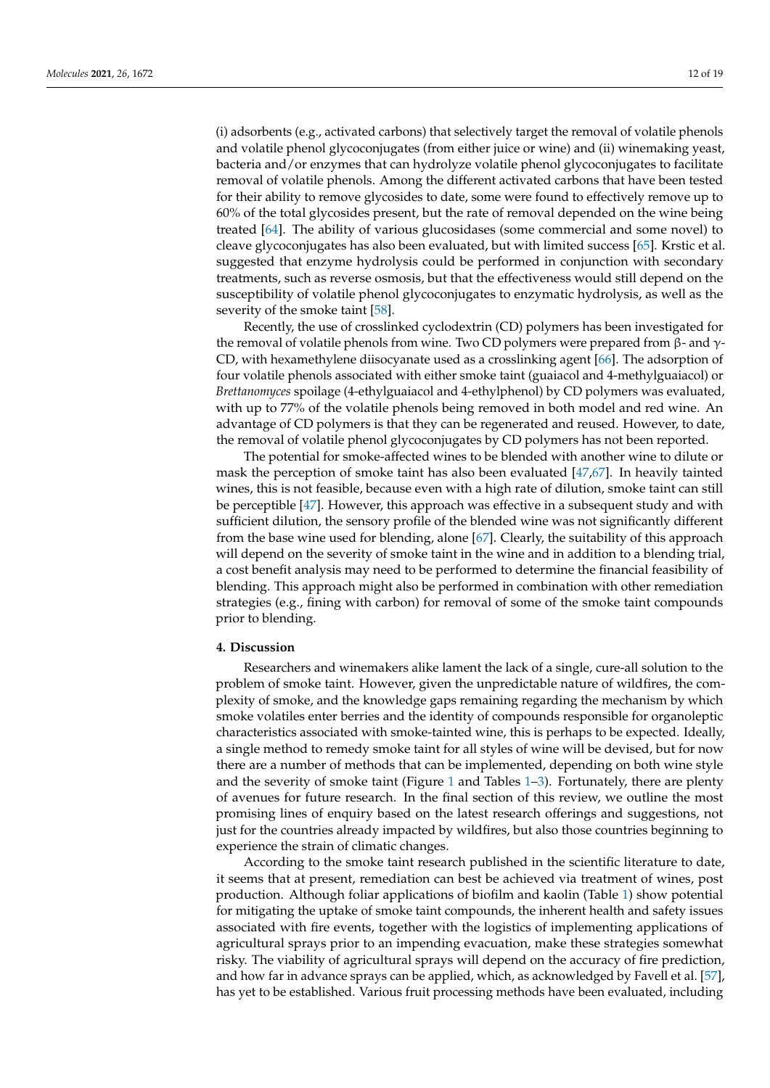(i) adsorbents (e.g., activated carbons) that selectively target the removal of volatile phenols and volatile phenol glycoconjugates (from either juice or wine) and (ii) winemaking yeast, bacteria and/or enzymes that can hydrolyze volatile phenol glycoconjugates to facilitate removal of volatile phenols. Among the different activated carbons that have been tested for their ability to remove glycosides to date, some were found to effectively remove up to 60% of the total glycosides present, but the rate of removal depended on the wine being treated [\[64\]](#page-17-21). The ability of various glucosidases (some commercial and some novel) to cleave glycoconjugates has also been evaluated, but with limited success [\[65\]](#page-17-22). Krstic et al. suggested that enzyme hydrolysis could be performed in conjunction with secondary treatments, such as reverse osmosis, but that the effectiveness would still depend on the susceptibility of volatile phenol glycoconjugates to enzymatic hydrolysis, as well as the severity of the smoke taint [\[58\]](#page-17-20).

Recently, the use of crosslinked cyclodextrin (CD) polymers has been investigated for the removal of volatile phenols from wine. Two CD polymers were prepared from β- and  $γ$ -CD, with hexamethylene diisocyanate used as a crosslinking agent [\[66\]](#page-17-23). The adsorption of four volatile phenols associated with either smoke taint (guaiacol and 4-methylguaiacol) or *Brettanomyces* spoilage (4-ethylguaiacol and 4-ethylphenol) by CD polymers was evaluated, with up to 77% of the volatile phenols being removed in both model and red wine. An advantage of CD polymers is that they can be regenerated and reused. However, to date, the removal of volatile phenol glycoconjugates by CD polymers has not been reported.

The potential for smoke-affected wines to be blended with another wine to dilute or mask the perception of smoke taint has also been evaluated [\[47](#page-17-4)[,67\]](#page-18-1). In heavily tainted wines, this is not feasible, because even with a high rate of dilution, smoke taint can still be perceptible [\[47\]](#page-17-4). However, this approach was effective in a subsequent study and with sufficient dilution, the sensory profile of the blended wine was not significantly different from the base wine used for blending, alone [\[67\]](#page-18-1). Clearly, the suitability of this approach will depend on the severity of smoke taint in the wine and in addition to a blending trial, a cost benefit analysis may need to be performed to determine the financial feasibility of blending. This approach might also be performed in combination with other remediation strategies (e.g., fining with carbon) for removal of some of the smoke taint compounds prior to blending.

#### **4. Discussion**

Researchers and winemakers alike lament the lack of a single, cure-all solution to the problem of smoke taint. However, given the unpredictable nature of wildfires, the complexity of smoke, and the knowledge gaps remaining regarding the mechanism by which smoke volatiles enter berries and the identity of compounds responsible for organoleptic characteristics associated with smoke-tainted wine, this is perhaps to be expected. Ideally, a single method to remedy smoke taint for all styles of wine will be devised, but for now there are a number of methods that can be implemented, depending on both wine style and the severity of smoke taint (Figure [1](#page-6-0) and Tables  $1-3$ ). Fortunately, there are plenty of avenues for future research. In the final section of this review, we outline the most promising lines of enquiry based on the latest research offerings and suggestions, not just for the countries already impacted by wildfires, but also those countries beginning to experience the strain of climatic changes.

According to the smoke taint research published in the scientific literature to date, it seems that at present, remediation can best be achieved via treatment of wines, post production. Although foliar applications of biofilm and kaolin (Table [1\)](#page-7-0) show potential for mitigating the uptake of smoke taint compounds, the inherent health and safety issues associated with fire events, together with the logistics of implementing applications of agricultural sprays prior to an impending evacuation, make these strategies somewhat risky. The viability of agricultural sprays will depend on the accuracy of fire prediction, and how far in advance sprays can be applied, which, as acknowledged by Favell et al. [\[57\]](#page-17-14), has yet to be established. Various fruit processing methods have been evaluated, including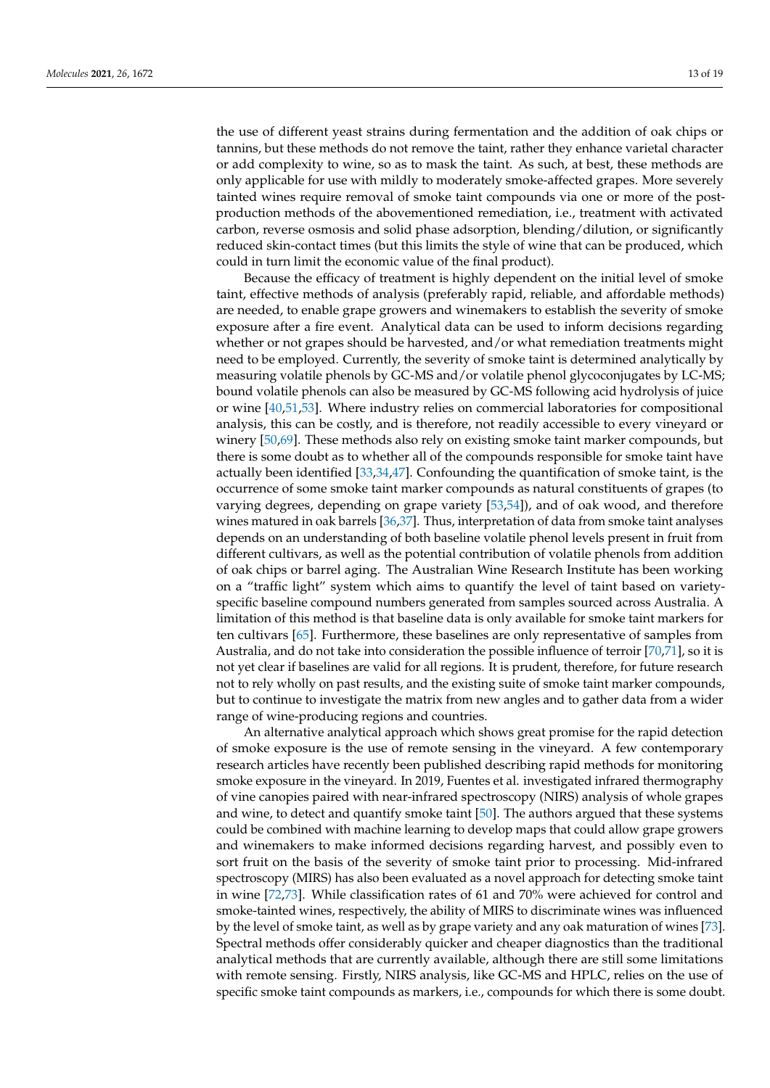the use of different yeast strains during fermentation and the addition of oak chips or tannins, but these methods do not remove the taint, rather they enhance varietal character or add complexity to wine, so as to mask the taint. As such, at best, these methods are only applicable for use with mildly to moderately smoke-affected grapes. More severely tainted wines require removal of smoke taint compounds via one or more of the postproduction methods of the abovementioned remediation, i.e., treatment with activated carbon, reverse osmosis and solid phase adsorption, blending/dilution, or significantly reduced skin-contact times (but this limits the style of wine that can be produced, which could in turn limit the economic value of the final product).

Because the efficacy of treatment is highly dependent on the initial level of smoke taint, effective methods of analysis (preferably rapid, reliable, and affordable methods) are needed, to enable grape growers and winemakers to establish the severity of smoke exposure after a fire event. Analytical data can be used to inform decisions regarding whether or not grapes should be harvested, and/or what remediation treatments might need to be employed. Currently, the severity of smoke taint is determined analytically by measuring volatile phenols by GC-MS and/or volatile phenol glycoconjugates by LC-MS; bound volatile phenols can also be measured by GC-MS following acid hydrolysis of juice or wine [\[40,](#page-16-19)[51,](#page-17-8)[53\]](#page-17-10). Where industry relies on commercial laboratories for compositional analysis, this can be costly, and is therefore, not readily accessible to every vineyard or winery [\[50](#page-17-7)[,69\]](#page-18-2). These methods also rely on existing smoke taint marker compounds, but there is some doubt as to whether all of the compounds responsible for smoke taint have actually been identified [\[33](#page-16-12)[,34](#page-16-13)[,47\]](#page-17-4). Confounding the quantification of smoke taint, is the occurrence of some smoke taint marker compounds as natural constituents of grapes (to varying degrees, depending on grape variety [\[53](#page-17-10)[,54\]](#page-17-11)), and of oak wood, and therefore wines matured in oak barrels [\[36,](#page-16-15)[37\]](#page-16-16). Thus, interpretation of data from smoke taint analyses depends on an understanding of both baseline volatile phenol levels present in fruit from different cultivars, as well as the potential contribution of volatile phenols from addition of oak chips or barrel aging. The Australian Wine Research Institute has been working on a "traffic light" system which aims to quantify the level of taint based on varietyspecific baseline compound numbers generated from samples sourced across Australia. A limitation of this method is that baseline data is only available for smoke taint markers for ten cultivars [\[65\]](#page-17-22). Furthermore, these baselines are only representative of samples from Australia, and do not take into consideration the possible influence of terroir [\[70,](#page-18-3)[71\]](#page-18-4), so it is not yet clear if baselines are valid for all regions. It is prudent, therefore, for future research not to rely wholly on past results, and the existing suite of smoke taint marker compounds, but to continue to investigate the matrix from new angles and to gather data from a wider range of wine-producing regions and countries.

An alternative analytical approach which shows great promise for the rapid detection of smoke exposure is the use of remote sensing in the vineyard. A few contemporary research articles have recently been published describing rapid methods for monitoring smoke exposure in the vineyard. In 2019, Fuentes et al. investigated infrared thermography of vine canopies paired with near-infrared spectroscopy (NIRS) analysis of whole grapes and wine, to detect and quantify smoke taint [\[50\]](#page-17-7). The authors argued that these systems could be combined with machine learning to develop maps that could allow grape growers and winemakers to make informed decisions regarding harvest, and possibly even to sort fruit on the basis of the severity of smoke taint prior to processing. Mid-infrared spectroscopy (MIRS) has also been evaluated as a novel approach for detecting smoke taint in wine [\[72](#page-18-5)[,73\]](#page-18-6). While classification rates of 61 and 70% were achieved for control and smoke-tainted wines, respectively, the ability of MIRS to discriminate wines was influenced by the level of smoke taint, as well as by grape variety and any oak maturation of wines [\[73\]](#page-18-6). Spectral methods offer considerably quicker and cheaper diagnostics than the traditional analytical methods that are currently available, although there are still some limitations with remote sensing. Firstly, NIRS analysis, like GC-MS and HPLC, relies on the use of specific smoke taint compounds as markers, i.e., compounds for which there is some doubt.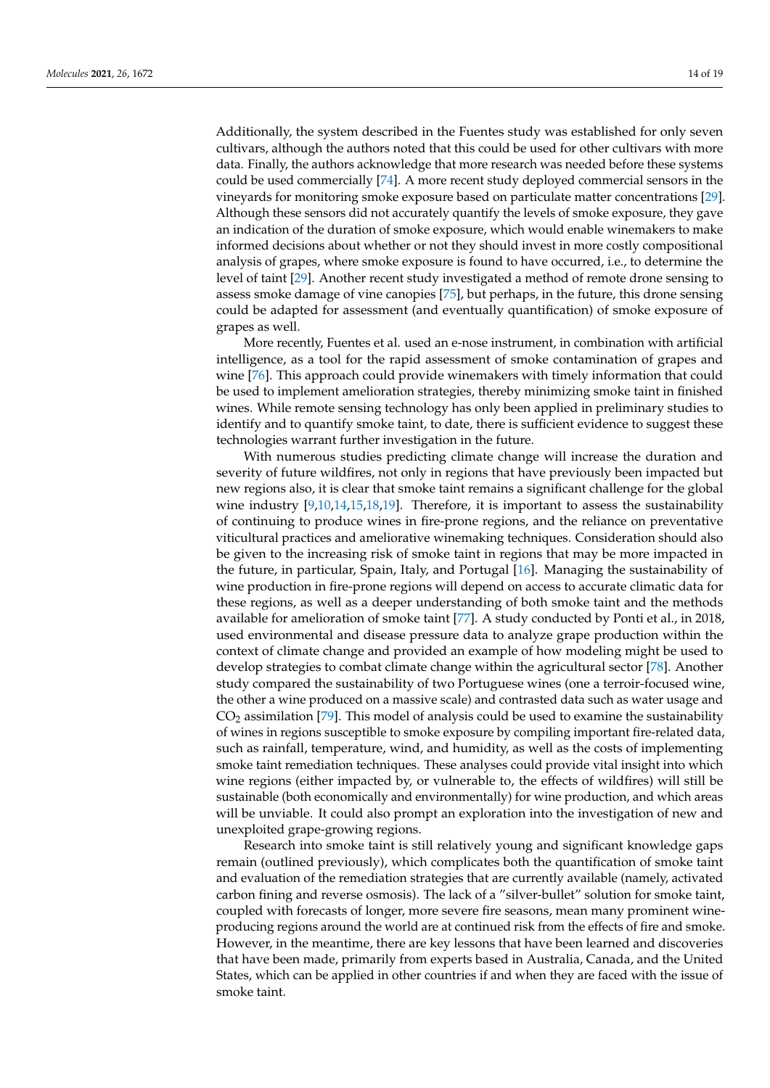Additionally, the system described in the Fuentes study was established for only seven cultivars, although the authors noted that this could be used for other cultivars with more data. Finally, the authors acknowledge that more research was needed before these systems could be used commercially [\[74\]](#page-18-7). A more recent study deployed commercial sensors in the vineyards for monitoring smoke exposure based on particulate matter concentrations [\[29\]](#page-16-22). Although these sensors did not accurately quantify the levels of smoke exposure, they gave an indication of the duration of smoke exposure, which would enable winemakers to make informed decisions about whether or not they should invest in more costly compositional analysis of grapes, where smoke exposure is found to have occurred, i.e., to determine the level of taint [\[29\]](#page-16-22). Another recent study investigated a method of remote drone sensing to assess smoke damage of vine canopies [\[75\]](#page-18-8), but perhaps, in the future, this drone sensing could be adapted for assessment (and eventually quantification) of smoke exposure of grapes as well.

More recently, Fuentes et al. used an e-nose instrument, in combination with artificial intelligence, as a tool for the rapid assessment of smoke contamination of grapes and wine [\[76\]](#page-18-9). This approach could provide winemakers with timely information that could be used to implement amelioration strategies, thereby minimizing smoke taint in finished wines. While remote sensing technology has only been applied in preliminary studies to identify and to quantify smoke taint, to date, there is sufficient evidence to suggest these technologies warrant further investigation in the future.

With numerous studies predicting climate change will increase the duration and severity of future wildfires, not only in regions that have previously been impacted but new regions also, it is clear that smoke taint remains a significant challenge for the global wine industry  $[9,10,14,15,18,19]$  $[9,10,14,15,18,19]$  $[9,10,14,15,18,19]$  $[9,10,14,15,18,19]$  $[9,10,14,15,18,19]$  $[9,10,14,15,18,19]$ . Therefore, it is important to assess the sustainability of continuing to produce wines in fire-prone regions, and the reliance on preventative viticultural practices and ameliorative winemaking techniques. Consideration should also be given to the increasing risk of smoke taint in regions that may be more impacted in the future, in particular, Spain, Italy, and Portugal [\[16\]](#page-16-24). Managing the sustainability of wine production in fire-prone regions will depend on access to accurate climatic data for these regions, as well as a deeper understanding of both smoke taint and the methods available for amelioration of smoke taint [\[77\]](#page-18-10). A study conducted by Ponti et al., in 2018, used environmental and disease pressure data to analyze grape production within the context of climate change and provided an example of how modeling might be used to develop strategies to combat climate change within the agricultural sector [\[78\]](#page-18-11). Another study compared the sustainability of two Portuguese wines (one a terroir-focused wine, the other a wine produced on a massive scale) and contrasted data such as water usage and  $CO<sub>2</sub>$  assimilation [\[79\]](#page-18-12). This model of analysis could be used to examine the sustainability of wines in regions susceptible to smoke exposure by compiling important fire-related data, such as rainfall, temperature, wind, and humidity, as well as the costs of implementing smoke taint remediation techniques. These analyses could provide vital insight into which wine regions (either impacted by, or vulnerable to, the effects of wildfires) will still be sustainable (both economically and environmentally) for wine production, and which areas will be unviable. It could also prompt an exploration into the investigation of new and unexploited grape-growing regions.

Research into smoke taint is still relatively young and significant knowledge gaps remain (outlined previously), which complicates both the quantification of smoke taint and evaluation of the remediation strategies that are currently available (namely, activated carbon fining and reverse osmosis). The lack of a "silver-bullet" solution for smoke taint, coupled with forecasts of longer, more severe fire seasons, mean many prominent wineproducing regions around the world are at continued risk from the effects of fire and smoke. However, in the meantime, there are key lessons that have been learned and discoveries that have been made, primarily from experts based in Australia, Canada, and the United States, which can be applied in other countries if and when they are faced with the issue of smoke taint.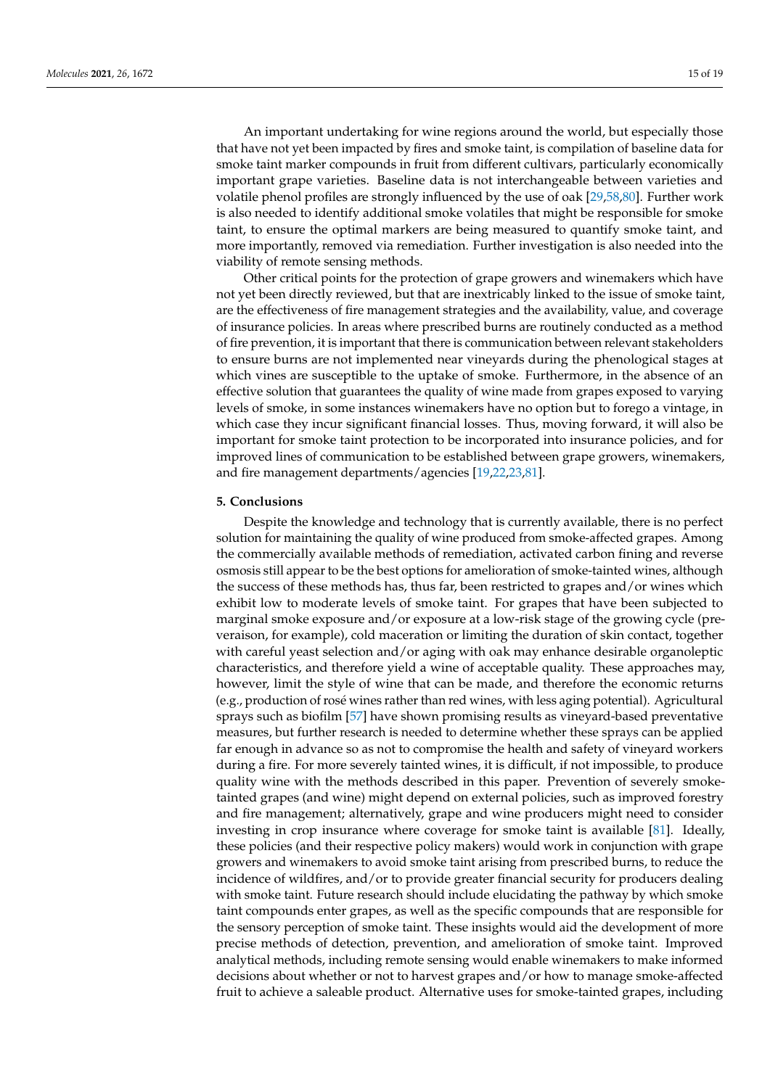An important undertaking for wine regions around the world, but especially those that have not yet been impacted by fires and smoke taint, is compilation of baseline data for smoke taint marker compounds in fruit from different cultivars, particularly economically important grape varieties. Baseline data is not interchangeable between varieties and volatile phenol profiles are strongly influenced by the use of oak [\[29,](#page-16-22)[58](#page-17-20)[,80\]](#page-18-13). Further work is also needed to identify additional smoke volatiles that might be responsible for smoke taint, to ensure the optimal markers are being measured to quantify smoke taint, and more importantly, removed via remediation. Further investigation is also needed into the viability of remote sensing methods.

Other critical points for the protection of grape growers and winemakers which have not yet been directly reviewed, but that are inextricably linked to the issue of smoke taint, are the effectiveness of fire management strategies and the availability, value, and coverage of insurance policies. In areas where prescribed burns are routinely conducted as a method of fire prevention, it is important that there is communication between relevant stakeholders to ensure burns are not implemented near vineyards during the phenological stages at which vines are susceptible to the uptake of smoke. Furthermore, in the absence of an effective solution that guarantees the quality of wine made from grapes exposed to varying levels of smoke, in some instances winemakers have no option but to forego a vintage, in which case they incur significant financial losses. Thus, moving forward, it will also be important for smoke taint protection to be incorporated into insurance policies, and for improved lines of communication to be established between grape growers, winemakers, and fire management departments/agencies [\[19,](#page-16-2)[22,](#page-16-5)[23,](#page-16-6)[81\]](#page-18-14).

### **5. Conclusions**

Despite the knowledge and technology that is currently available, there is no perfect solution for maintaining the quality of wine produced from smoke-affected grapes. Among the commercially available methods of remediation, activated carbon fining and reverse osmosis still appear to be the best options for amelioration of smoke-tainted wines, although the success of these methods has, thus far, been restricted to grapes and/or wines which exhibit low to moderate levels of smoke taint. For grapes that have been subjected to marginal smoke exposure and/or exposure at a low-risk stage of the growing cycle (preveraison, for example), cold maceration or limiting the duration of skin contact, together with careful yeast selection and/or aging with oak may enhance desirable organoleptic characteristics, and therefore yield a wine of acceptable quality. These approaches may, however, limit the style of wine that can be made, and therefore the economic returns (e.g., production of rosé wines rather than red wines, with less aging potential). Agricultural sprays such as biofilm [\[57\]](#page-17-14) have shown promising results as vineyard-based preventative measures, but further research is needed to determine whether these sprays can be applied far enough in advance so as not to compromise the health and safety of vineyard workers during a fire. For more severely tainted wines, it is difficult, if not impossible, to produce quality wine with the methods described in this paper. Prevention of severely smoketainted grapes (and wine) might depend on external policies, such as improved forestry and fire management; alternatively, grape and wine producers might need to consider investing in crop insurance where coverage for smoke taint is available [\[81\]](#page-18-14). Ideally, these policies (and their respective policy makers) would work in conjunction with grape growers and winemakers to avoid smoke taint arising from prescribed burns, to reduce the incidence of wildfires, and/or to provide greater financial security for producers dealing with smoke taint. Future research should include elucidating the pathway by which smoke taint compounds enter grapes, as well as the specific compounds that are responsible for the sensory perception of smoke taint. These insights would aid the development of more precise methods of detection, prevention, and amelioration of smoke taint. Improved analytical methods, including remote sensing would enable winemakers to make informed decisions about whether or not to harvest grapes and/or how to manage smoke-affected fruit to achieve a saleable product. Alternative uses for smoke-tainted grapes, including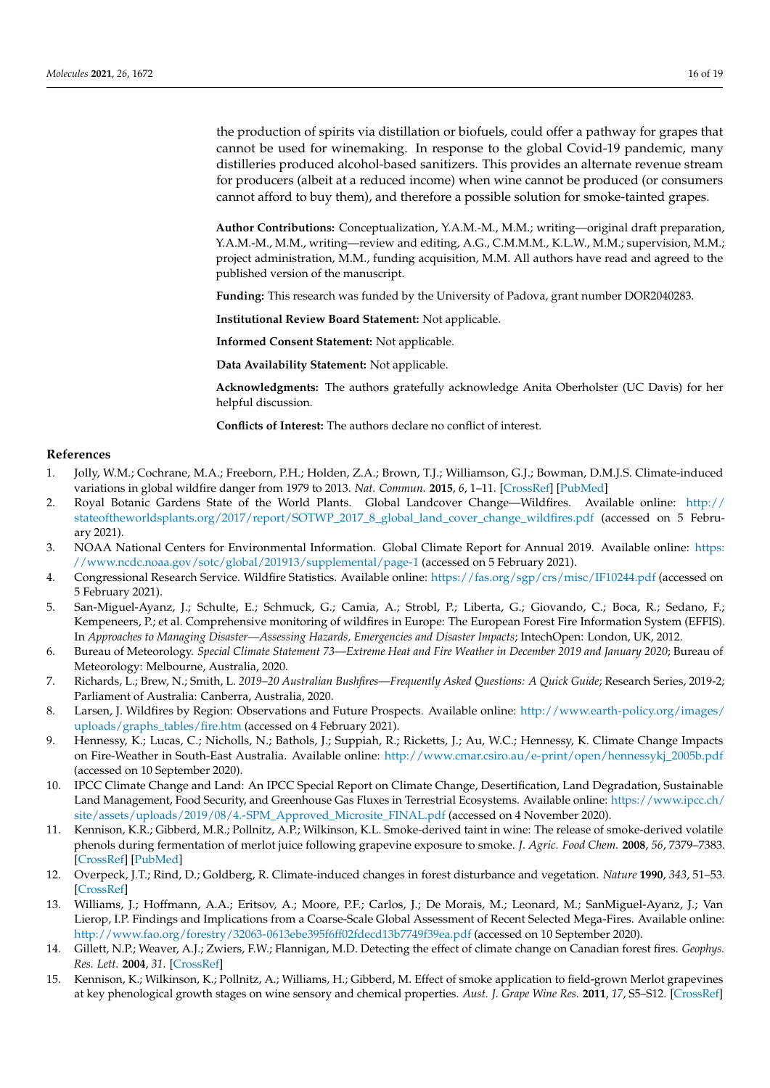the production of spirits via distillation or biofuels, could offer a pathway for grapes that cannot be used for winemaking. In response to the global Covid-19 pandemic, many distilleries produced alcohol-based sanitizers. This provides an alternate revenue stream for producers (albeit at a reduced income) when wine cannot be produced (or consumers cannot afford to buy them), and therefore a possible solution for smoke-tainted grapes.

**Author Contributions:** Conceptualization, Y.A.M.-M., M.M.; writing—original draft preparation, Y.A.M.-M., M.M., writing—review and editing, A.G., C.M.M.M., K.L.W., M.M.; supervision, M.M.; project administration, M.M., funding acquisition, M.M. All authors have read and agreed to the published version of the manuscript.

**Funding:** This research was funded by the University of Padova, grant number DOR2040283.

**Institutional Review Board Statement:** Not applicable.

**Informed Consent Statement:** Not applicable.

**Data Availability Statement:** Not applicable.

**Acknowledgments:** The authors gratefully acknowledge Anita Oberholster (UC Davis) for her helpful discussion.

**Conflicts of Interest:** The authors declare no conflict of interest.

## **References**

- <span id="page-15-0"></span>1. Jolly, W.M.; Cochrane, M.A.; Freeborn, P.H.; Holden, Z.A.; Brown, T.J.; Williamson, G.J.; Bowman, D.M.J.S. Climate-induced variations in global wildfire danger from 1979 to 2013. *Nat. Commun.* **2015**, *6*, 1–11. [\[CrossRef\]](http://doi.org/10.1038/ncomms8537) [\[PubMed\]](http://www.ncbi.nlm.nih.gov/pubmed/26172867)
- <span id="page-15-1"></span>2. Royal Botanic Gardens State of the World Plants. Global Landcover Change—Wildfires. Available online: [http://](http://stateoftheworldsplants.org/2017/report/SOTWP_2017_8_global_land_cover_change_wildfires.pdf) [stateoftheworldsplants.org/2017/report/SOTWP\\_2017\\_8\\_global\\_land\\_cover\\_change\\_wildfires.pdf](http://stateoftheworldsplants.org/2017/report/SOTWP_2017_8_global_land_cover_change_wildfires.pdf) (accessed on 5 February 2021).
- <span id="page-15-2"></span>3. NOAA National Centers for Environmental Information. Global Climate Report for Annual 2019. Available online: [https:](https://www.ncdc.noaa.gov/sotc/global/201913/supplemental/page-1) [//www.ncdc.noaa.gov/sotc/global/201913/supplemental/page-1](https://www.ncdc.noaa.gov/sotc/global/201913/supplemental/page-1) (accessed on 5 February 2021).
- <span id="page-15-3"></span>4. Congressional Research Service. Wildfire Statistics. Available online: <https://fas.org/sgp/crs/misc/IF10244.pdf> (accessed on 5 February 2021).
- <span id="page-15-4"></span>5. San-Miguel-Ayanz, J.; Schulte, E.; Schmuck, G.; Camia, A.; Strobl, P.; Liberta, G.; Giovando, C.; Boca, R.; Sedano, F.; Kempeneers, P.; et al. Comprehensive monitoring of wildfires in Europe: The European Forest Fire Information System (EFFIS). In *Approaches to Managing Disaster—Assessing Hazards, Emergencies and Disaster Impacts*; IntechOpen: London, UK, 2012.
- <span id="page-15-5"></span>6. Bureau of Meteorology. *Special Climate Statement 73—Extreme Heat and Fire Weather in December 2019 and January 2020*; Bureau of Meteorology: Melbourne, Australia, 2020.
- <span id="page-15-6"></span>7. Richards, L.; Brew, N.; Smith, L. *2019–20 Australian Bushfires—Frequently Asked Questions: A Quick Guide*; Research Series, 2019-2; Parliament of Australia: Canberra, Australia, 2020.
- <span id="page-15-7"></span>8. Larsen, J. Wildfires by Region: Observations and Future Prospects. Available online: [http://www.earth-policy.org/images/](http://www.earth-policy.org/images/uploads/graphs_tables/fire.htm) [uploads/graphs\\_tables/fire.htm](http://www.earth-policy.org/images/uploads/graphs_tables/fire.htm) (accessed on 4 February 2021).
- <span id="page-15-8"></span>9. Hennessy, K.; Lucas, C.; Nicholls, N.; Bathols, J.; Suppiah, R.; Ricketts, J.; Au, W.C.; Hennessy, K. Climate Change Impacts on Fire-Weather in South-East Australia. Available online: [http://www.cmar.csiro.au/e-print/open/hennessykj\\_2005b.pdf](http://www.cmar.csiro.au/e-print/open/hennessykj_2005b.pdf) (accessed on 10 September 2020).
- <span id="page-15-11"></span>10. IPCC Climate Change and Land: An IPCC Special Report on Climate Change, Desertification, Land Degradation, Sustainable Land Management, Food Security, and Greenhouse Gas Fluxes in Terrestrial Ecosystems. Available online: [https://www.ipcc.ch/](https://www.ipcc.ch/site/assets/uploads/2019/08/4.-SPM_Approved_Microsite_FINAL.pdf) [site/assets/uploads/2019/08/4.-SPM\\_Approved\\_Microsite\\_FINAL.pdf](https://www.ipcc.ch/site/assets/uploads/2019/08/4.-SPM_Approved_Microsite_FINAL.pdf) (accessed on 4 November 2020).
- <span id="page-15-12"></span>11. Kennison, K.R.; Gibberd, M.R.; Pollnitz, A.P.; Wilkinson, K.L. Smoke-derived taint in wine: The release of smoke-derived volatile phenols during fermentation of merlot juice following grapevine exposure to smoke. *J. Agric. Food Chem.* **2008**, *56*, 7379–7383. [\[CrossRef\]](http://doi.org/10.1021/jf800927e) [\[PubMed\]](http://www.ncbi.nlm.nih.gov/pubmed/18680304)
- 12. Overpeck, J.T.; Rind, D.; Goldberg, R. Climate-induced changes in forest disturbance and vegetation. *Nature* **1990**, *343*, 51–53. [\[CrossRef\]](http://doi.org/10.1038/343051a0)
- <span id="page-15-9"></span>13. Williams, J.; Hoffmann, A.A.; Eritsov, A.; Moore, P.F.; Carlos, J.; De Morais, M.; Leonard, M.; SanMiguel-Ayanz, J.; Van Lierop, I.P. Findings and Implications from a Coarse-Scale Global Assessment of Recent Selected Mega-Fires. Available online: <http://www.fao.org/forestry/32063-0613ebe395f6ff02fdecd13b7749f39ea.pdf> (accessed on 10 September 2020).
- <span id="page-15-10"></span>14. Gillett, N.P.; Weaver, A.J.; Zwiers, F.W.; Flannigan, M.D. Detecting the effect of climate change on Canadian forest fires. *Geophys. Res. Lett.* **2004**, *31*. [\[CrossRef\]](http://doi.org/10.1029/2004GL020876)
- <span id="page-15-13"></span>15. Kennison, K.; Wilkinson, K.; Pollnitz, A.; Williams, H.; Gibberd, M. Effect of smoke application to field-grown Merlot grapevines at key phenological growth stages on wine sensory and chemical properties. *Aust. J. Grape Wine Res.* **2011**, *17*, S5–S12. [\[CrossRef\]](http://doi.org/10.1111/j.1755-0238.2011.00137.x)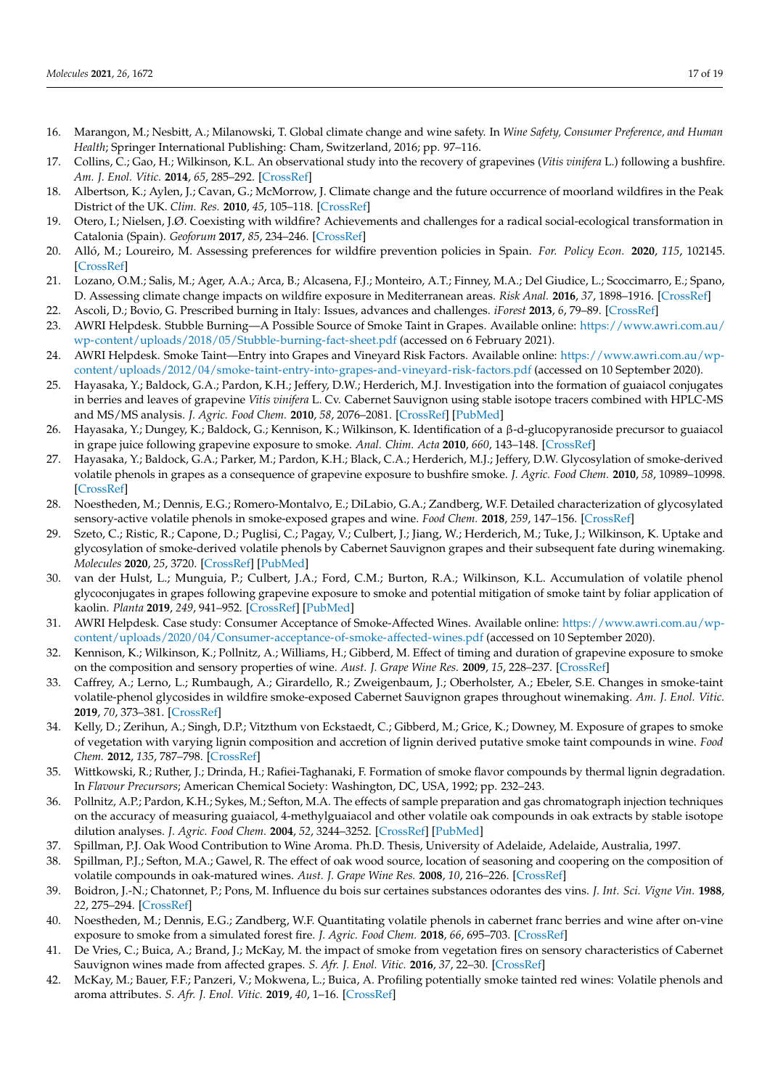- <span id="page-16-24"></span>16. Marangon, M.; Nesbitt, A.; Milanowski, T. Global climate change and wine safety. In *Wine Safety, Consumer Preference, and Human Health*; Springer International Publishing: Cham, Switzerland, 2016; pp. 97–116.
- <span id="page-16-0"></span>17. Collins, C.; Gao, H.; Wilkinson, K.L. An observational study into the recovery of grapevines (*Vitis vinifera* L.) following a bushfire. *Am. J. Enol. Vitic.* **2014**, *65*, 285–292. [\[CrossRef\]](http://doi.org/10.5344/ajev.2014.13127)
- <span id="page-16-1"></span>18. Albertson, K.; Aylen, J.; Cavan, G.; McMorrow, J. Climate change and the future occurrence of moorland wildfires in the Peak District of the UK. *Clim. Res.* **2010**, *45*, 105–118. [\[CrossRef\]](http://doi.org/10.3354/cr00926)
- <span id="page-16-2"></span>19. Otero, I.; Nielsen, J.Ø. Coexisting with wildfire? Achievements and challenges for a radical social-ecological transformation in Catalonia (Spain). *Geoforum* **2017**, *85*, 234–246. [\[CrossRef\]](http://doi.org/10.1016/j.geoforum.2017.07.020)
- <span id="page-16-3"></span>20. Alló, M.; Loureiro, M. Assessing preferences for wildfire prevention policies in Spain. *For. Policy Econ.* **2020**, *115*, 102145. [\[CrossRef\]](http://doi.org/10.1016/j.forpol.2020.102145)
- <span id="page-16-4"></span>21. Lozano, O.M.; Salis, M.; Ager, A.A.; Arca, B.; Alcasena, F.J.; Monteiro, A.T.; Finney, M.A.; Del Giudice, L.; Scoccimarro, E.; Spano, D. Assessing climate change impacts on wildfire exposure in Mediterranean areas. *Risk Anal.* **2016**, *37*, 1898–1916. [\[CrossRef\]](http://doi.org/10.1111/risa.12739)
- <span id="page-16-5"></span>22. Ascoli, D.; Bovio, G. Prescribed burning in Italy: Issues, advances and challenges. *iForest* **2013**, *6*, 79–89. [\[CrossRef\]](http://doi.org/10.3832/ifor0803-006)
- <span id="page-16-6"></span>23. AWRI Helpdesk. Stubble Burning—A Possible Source of Smoke Taint in Grapes. Available online: [https://www.awri.com.au/](https://www.awri.com.au/wp-content/uploads/2018/05/Stubble-burning-fact-sheet.pdf) [wp-content/uploads/2018/05/Stubble-burning-fact-sheet.pdf](https://www.awri.com.au/wp-content/uploads/2018/05/Stubble-burning-fact-sheet.pdf) (accessed on 6 February 2021).
- <span id="page-16-7"></span>24. AWRI Helpdesk. Smoke Taint—Entry into Grapes and Vineyard Risk Factors. Available online: [https://www.awri.com.au/wp](https://www.awri.com.au/wp-content/uploads/2012/04/smoke-taint-entry-into-grapes-and-vineyard-risk-factors.pdf)[content/uploads/2012/04/smoke-taint-entry-into-grapes-and-vineyard-risk-factors.pdf](https://www.awri.com.au/wp-content/uploads/2012/04/smoke-taint-entry-into-grapes-and-vineyard-risk-factors.pdf) (accessed on 10 September 2020).
- <span id="page-16-10"></span>25. Hayasaka, Y.; Baldock, G.A.; Pardon, K.H.; Jeffery, D.W.; Herderich, M.J. Investigation into the formation of guaiacol conjugates in berries and leaves of grapevine *Vitis vinifera* L. Cv. Cabernet Sauvignon using stable isotope tracers combined with HPLC-MS and MS/MS analysis. *J. Agric. Food Chem.* **2010**, *58*, 2076–2081. [\[CrossRef\]](http://doi.org/10.1021/jf903732p) [\[PubMed\]](http://www.ncbi.nlm.nih.gov/pubmed/20092321)
- <span id="page-16-21"></span>26. Hayasaka, Y.; Dungey, K.; Baldock, G.; Kennison, K.; Wilkinson, K. Identification of a β-d-glucopyranoside precursor to guaiacol in grape juice following grapevine exposure to smoke. *Anal. Chim. Acta* **2010**, *660*, 143–148. [\[CrossRef\]](http://doi.org/10.1016/j.aca.2009.10.039)
- <span id="page-16-18"></span>27. Hayasaka, Y.; Baldock, G.A.; Parker, M.; Pardon, K.H.; Black, C.A.; Herderich, M.J.; Jeffery, D.W. Glycosylation of smoke-derived volatile phenols in grapes as a consequence of grapevine exposure to bushfire smoke. *J. Agric. Food Chem.* **2010**, *58*, 10989–10998. [\[CrossRef\]](http://doi.org/10.1021/jf103045t)
- <span id="page-16-23"></span>28. Noestheden, M.; Dennis, E.G.; Romero-Montalvo, E.; DiLabio, G.A.; Zandberg, W.F. Detailed characterization of glycosylated sensory-active volatile phenols in smoke-exposed grapes and wine. *Food Chem.* **2018**, *259*, 147–156. [\[CrossRef\]](http://doi.org/10.1016/j.foodchem.2018.03.097)
- <span id="page-16-22"></span>29. Szeto, C.; Ristic, R.; Capone, D.; Puglisi, C.; Pagay, V.; Culbert, J.; Jiang, W.; Herderich, M.; Tuke, J.; Wilkinson, K. Uptake and glycosylation of smoke-derived volatile phenols by Cabernet Sauvignon grapes and their subsequent fate during winemaking. *Molecules* **2020**, *25*, 3720. [\[CrossRef\]](http://doi.org/10.3390/molecules25163720) [\[PubMed\]](http://www.ncbi.nlm.nih.gov/pubmed/32824099)
- <span id="page-16-8"></span>30. van der Hulst, L.; Munguia, P.; Culbert, J.A.; Ford, C.M.; Burton, R.A.; Wilkinson, K.L. Accumulation of volatile phenol glycoconjugates in grapes following grapevine exposure to smoke and potential mitigation of smoke taint by foliar application of kaolin. *Planta* **2019**, *249*, 941–952. [\[CrossRef\]](http://doi.org/10.1007/s00425-018-03079-x) [\[PubMed\]](http://www.ncbi.nlm.nih.gov/pubmed/30612169)
- <span id="page-16-9"></span>31. AWRI Helpdesk. Case study: Consumer Acceptance of Smoke-Affected Wines. Available online: [https://www.awri.com.au/wp](https://www.awri.com.au/wp-content/uploads/2020/04/Consumer-acceptance-of-smoke-affected-wines.pdf)[content/uploads/2020/04/Consumer-acceptance-of-smoke-affected-wines.pdf](https://www.awri.com.au/wp-content/uploads/2020/04/Consumer-acceptance-of-smoke-affected-wines.pdf) (accessed on 10 September 2020).
- <span id="page-16-11"></span>32. Kennison, K.; Wilkinson, K.; Pollnitz, A.; Williams, H.; Gibberd, M. Effect of timing and duration of grapevine exposure to smoke on the composition and sensory properties of wine. *Aust. J. Grape Wine Res.* **2009**, *15*, 228–237. [\[CrossRef\]](http://doi.org/10.1111/j.1755-0238.2009.00056.x)
- <span id="page-16-12"></span>33. Caffrey, A.; Lerno, L.; Rumbaugh, A.; Girardello, R.; Zweigenbaum, J.; Oberholster, A.; Ebeler, S.E. Changes in smoke-taint volatile-phenol glycosides in wildfire smoke-exposed Cabernet Sauvignon grapes throughout winemaking. *Am. J. Enol. Vitic.* **2019**, *70*, 373–381. [\[CrossRef\]](http://doi.org/10.5344/ajev.2019.19001)
- <span id="page-16-13"></span>34. Kelly, D.; Zerihun, A.; Singh, D.P.; Vitzthum von Eckstaedt, C.; Gibberd, M.; Grice, K.; Downey, M. Exposure of grapes to smoke of vegetation with varying lignin composition and accretion of lignin derived putative smoke taint compounds in wine. *Food Chem.* **2012**, *135*, 787–798. [\[CrossRef\]](http://doi.org/10.1016/j.foodchem.2012.05.036)
- <span id="page-16-14"></span>35. Wittkowski, R.; Ruther, J.; Drinda, H.; Rafiei-Taghanaki, F. Formation of smoke flavor compounds by thermal lignin degradation. In *Flavour Precursors*; American Chemical Society: Washington, DC, USA, 1992; pp. 232–243.
- <span id="page-16-15"></span>36. Pollnitz, A.P.; Pardon, K.H.; Sykes, M.; Sefton, M.A. The effects of sample preparation and gas chromatograph injection techniques on the accuracy of measuring guaiacol, 4-methylguaiacol and other volatile oak compounds in oak extracts by stable isotope dilution analyses. *J. Agric. Food Chem.* **2004**, *52*, 3244–3252. [\[CrossRef\]](http://doi.org/10.1021/jf035380x) [\[PubMed\]](http://www.ncbi.nlm.nih.gov/pubmed/15161177)
- <span id="page-16-16"></span>37. Spillman, P.J. Oak Wood Contribution to Wine Aroma. Ph.D. Thesis, University of Adelaide, Adelaide, Australia, 1997.
- 38. Spillman, P.J.; Sefton, M.A.; Gawel, R. The effect of oak wood source, location of seasoning and coopering on the composition of volatile compounds in oak-matured wines. *Aust. J. Grape Wine Res.* **2008**, *10*, 216–226. [\[CrossRef\]](http://doi.org/10.1111/j.1755-0238.2004.tb00025.x)
- <span id="page-16-17"></span>39. Boidron, J.-N.; Chatonnet, P.; Pons, M. Influence du bois sur certaines substances odorantes des vins. *J. Int. Sci. Vigne Vin.* **1988**, *22*, 275–294. [\[CrossRef\]](http://doi.org/10.20870/oeno-one.1988.22.4.1263)
- <span id="page-16-19"></span>40. Noestheden, M.; Dennis, E.G.; Zandberg, W.F. Quantitating volatile phenols in cabernet franc berries and wine after on-vine exposure to smoke from a simulated forest fire. *J. Agric. Food Chem.* **2018**, *66*, 695–703. [\[CrossRef\]](http://doi.org/10.1021/acs.jafc.7b04946)
- <span id="page-16-20"></span>41. De Vries, C.; Buica, A.; Brand, J.; McKay, M. the impact of smoke from vegetation fires on sensory characteristics of Cabernet Sauvignon wines made from affected grapes. *S. Afr. J. Enol. Vitic.* **2016**, *37*, 22–30. [\[CrossRef\]](http://doi.org/10.21548/37-1-755)
- 42. McKay, M.; Bauer, F.F.; Panzeri, V.; Mokwena, L.; Buica, A. Profiling potentially smoke tainted red wines: Volatile phenols and aroma attributes. *S. Afr. J. Enol. Vitic.* **2019**, *40*, 1–16. [\[CrossRef\]](http://doi.org/10.21548/42-2-3270)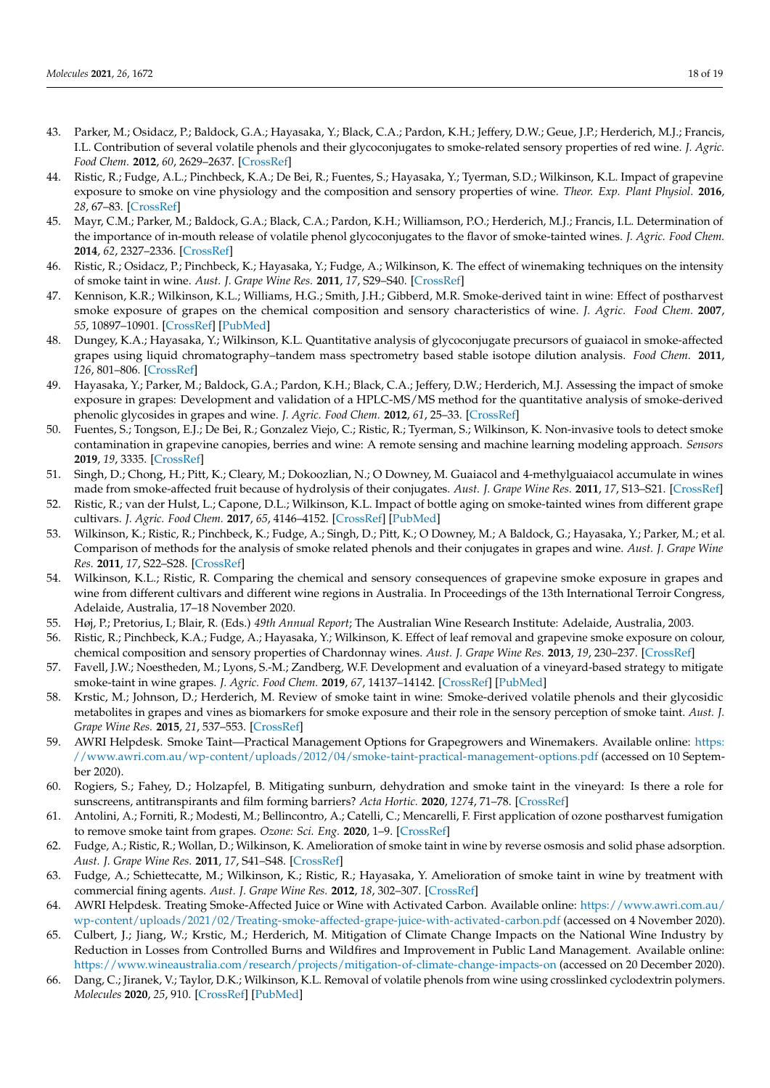- <span id="page-17-0"></span>43. Parker, M.; Osidacz, P.; Baldock, G.A.; Hayasaka, Y.; Black, C.A.; Pardon, K.H.; Jeffery, D.W.; Geue, J.P.; Herderich, M.J.; Francis, I.L. Contribution of several volatile phenols and their glycoconjugates to smoke-related sensory properties of red wine. *J. Agric. Food Chem.* **2012**, *60*, 2629–2637. [\[CrossRef\]](http://doi.org/10.1021/jf2040548)
- <span id="page-17-1"></span>44. Ristic, R.; Fudge, A.L.; Pinchbeck, K.A.; De Bei, R.; Fuentes, S.; Hayasaka, Y.; Tyerman, S.D.; Wilkinson, K.L. Impact of grapevine exposure to smoke on vine physiology and the composition and sensory properties of wine. *Theor. Exp. Plant Physiol.* **2016**, *28*, 67–83. [\[CrossRef\]](http://doi.org/10.1007/s40626-016-0054-x)
- <span id="page-17-2"></span>45. Mayr, C.M.; Parker, M.; Baldock, G.A.; Black, C.A.; Pardon, K.H.; Williamson, P.O.; Herderich, M.J.; Francis, I.L. Determination of the importance of in-mouth release of volatile phenol glycoconjugates to the flavor of smoke-tainted wines. *J. Agric. Food Chem.* **2014**, *62*, 2327–2336. [\[CrossRef\]](http://doi.org/10.1021/jf405327s)
- <span id="page-17-3"></span>46. Ristic, R.; Osidacz, P.; Pinchbeck, K.; Hayasaka, Y.; Fudge, A.; Wilkinson, K. The effect of winemaking techniques on the intensity of smoke taint in wine. *Aust. J. Grape Wine Res.* **2011**, *17*, S29–S40. [\[CrossRef\]](http://doi.org/10.1111/j.1755-0238.2011.00146.x)
- <span id="page-17-4"></span>47. Kennison, K.R.; Wilkinson, K.L.; Williams, H.G.; Smith, J.H.; Gibberd, M.R. Smoke-derived taint in wine: Effect of postharvest smoke exposure of grapes on the chemical composition and sensory characteristics of wine. *J. Agric. Food Chem.* **2007**, *55*, 10897–10901. [\[CrossRef\]](http://doi.org/10.1021/jf072509k) [\[PubMed\]](http://www.ncbi.nlm.nih.gov/pubmed/18052239)
- <span id="page-17-5"></span>48. Dungey, K.A.; Hayasaka, Y.; Wilkinson, K.L. Quantitative analysis of glycoconjugate precursors of guaiacol in smoke-affected grapes using liquid chromatography–tandem mass spectrometry based stable isotope dilution analysis. *Food Chem.* **2011**, *126*, 801–806. [\[CrossRef\]](http://doi.org/10.1016/j.foodchem.2010.11.094)
- <span id="page-17-6"></span>49. Hayasaka, Y.; Parker, M.; Baldock, G.A.; Pardon, K.H.; Black, C.A.; Jeffery, D.W.; Herderich, M.J. Assessing the impact of smoke exposure in grapes: Development and validation of a HPLC-MS/MS method for the quantitative analysis of smoke-derived phenolic glycosides in grapes and wine. *J. Agric. Food Chem.* **2012**, *61*, 25–33. [\[CrossRef\]](http://doi.org/10.1021/jf305025j)
- <span id="page-17-7"></span>50. Fuentes, S.; Tongson, E.J.; De Bei, R.; Gonzalez Viejo, C.; Ristic, R.; Tyerman, S.; Wilkinson, K. Non-invasive tools to detect smoke contamination in grapevine canopies, berries and wine: A remote sensing and machine learning modeling approach. *Sensors* **2019**, *19*, 3335. [\[CrossRef\]](http://doi.org/10.3390/s19153335)
- <span id="page-17-8"></span>51. Singh, D.; Chong, H.; Pitt, K.; Cleary, M.; Dokoozlian, N.; O Downey, M. Guaiacol and 4-methylguaiacol accumulate in wines made from smoke-affected fruit because of hydrolysis of their conjugates. *Aust. J. Grape Wine Res.* **2011**, *17*, S13–S21. [\[CrossRef\]](http://doi.org/10.1111/j.1755-0238.2011.00128.x)
- <span id="page-17-9"></span>52. Ristic, R.; van der Hulst, L.; Capone, D.L.; Wilkinson, K.L. Impact of bottle aging on smoke-tainted wines from different grape cultivars. *J. Agric. Food Chem.* **2017**, *65*, 4146–4152. [\[CrossRef\]](http://doi.org/10.1021/acs.jafc.7b01233) [\[PubMed\]](http://www.ncbi.nlm.nih.gov/pubmed/28464603)
- <span id="page-17-10"></span>53. Wilkinson, K.; Ristic, R.; Pinchbeck, K.; Fudge, A.; Singh, D.; Pitt, K.; O Downey, M.; A Baldock, G.; Hayasaka, Y.; Parker, M.; et al. Comparison of methods for the analysis of smoke related phenols and their conjugates in grapes and wine. *Aust. J. Grape Wine Res.* **2011**, *17*, S22–S28. [\[CrossRef\]](http://doi.org/10.1111/j.1755-0238.2011.00147.x)
- <span id="page-17-11"></span>54. Wilkinson, K.L.; Ristic, R. Comparing the chemical and sensory consequences of grapevine smoke exposure in grapes and wine from different cultivars and different wine regions in Australia. In Proceedings of the 13th International Terroir Congress, Adelaide, Australia, 17–18 November 2020.
- <span id="page-17-12"></span>55. Høj, P.; Pretorius, I.; Blair, R. (Eds.) *49th Annual Report*; The Australian Wine Research Institute: Adelaide, Australia, 2003.
- <span id="page-17-13"></span>56. Ristic, R.; Pinchbeck, K.A.; Fudge, A.; Hayasaka, Y.; Wilkinson, K. Effect of leaf removal and grapevine smoke exposure on colour, chemical composition and sensory properties of Chardonnay wines. *Aust. J. Grape Wine Res.* **2013**, *19*, 230–237. [\[CrossRef\]](http://doi.org/10.1111/ajgw.12017)
- <span id="page-17-14"></span>57. Favell, J.W.; Noestheden, M.; Lyons, S.-M.; Zandberg, W.F. Development and evaluation of a vineyard-based strategy to mitigate smoke-taint in wine grapes. *J. Agric. Food Chem.* **2019**, *67*, 14137–14142. [\[CrossRef\]](http://doi.org/10.1021/acs.jafc.9b05859) [\[PubMed\]](http://www.ncbi.nlm.nih.gov/pubmed/31802665)
- <span id="page-17-20"></span>58. Krstic, M.; Johnson, D.; Herderich, M. Review of smoke taint in wine: Smoke-derived volatile phenols and their glycosidic metabolites in grapes and vines as biomarkers for smoke exposure and their role in the sensory perception of smoke taint. *Aust. J. Grape Wine Res.* **2015**, *21*, 537–553. [\[CrossRef\]](http://doi.org/10.1111/ajgw.12183)
- <span id="page-17-15"></span>59. AWRI Helpdesk. Smoke Taint—Practical Management Options for Grapegrowers and Winemakers. Available online: [https:](https://www.awri.com.au/wp-content/uploads/2012/04/smoke-taint-practical-management-options.pdf) [//www.awri.com.au/wp-content/uploads/2012/04/smoke-taint-practical-management-options.pdf](https://www.awri.com.au/wp-content/uploads/2012/04/smoke-taint-practical-management-options.pdf) (accessed on 10 September 2020).
- <span id="page-17-16"></span>60. Rogiers, S.; Fahey, D.; Holzapfel, B. Mitigating sunburn, dehydration and smoke taint in the vineyard: Is there a role for sunscreens, antitranspirants and film forming barriers? *Acta Hortic.* **2020**, *1274*, 71–78. [\[CrossRef\]](http://doi.org/10.17660/ActaHortic.2020.1274.8)
- <span id="page-17-17"></span>61. Antolini, A.; Forniti, R.; Modesti, M.; Bellincontro, A.; Catelli, C.; Mencarelli, F. First application of ozone postharvest fumigation to remove smoke taint from grapes. *Ozone: Sci. Eng.* **2020**, 1–9. [\[CrossRef\]](http://doi.org/10.1080/01919512.2020.1796583)
- <span id="page-17-18"></span>62. Fudge, A.; Ristic, R.; Wollan, D.; Wilkinson, K. Amelioration of smoke taint in wine by reverse osmosis and solid phase adsorption. *Aust. J. Grape Wine Res.* **2011**, *17*, S41–S48. [\[CrossRef\]](http://doi.org/10.1111/j.1755-0238.2011.00148.x)
- <span id="page-17-19"></span>63. Fudge, A.; Schiettecatte, M.; Wilkinson, K.; Ristic, R.; Hayasaka, Y. Amelioration of smoke taint in wine by treatment with commercial fining agents. *Aust. J. Grape Wine Res.* **2012**, *18*, 302–307. [\[CrossRef\]](http://doi.org/10.1111/j.1755-0238.2012.00200.x)
- <span id="page-17-21"></span>64. AWRI Helpdesk. Treating Smoke-Affected Juice or Wine with Activated Carbon. Available online: [https://www.awri.com.au/](https://www.awri.com.au/wp-content/uploads/2021/02/Treating-smoke-affected-grape-juice-with-activated-carbon.pdf) [wp-content/uploads/2021/02/Treating-smoke-affected-grape-juice-with-activated-carbon.pdf](https://www.awri.com.au/wp-content/uploads/2021/02/Treating-smoke-affected-grape-juice-with-activated-carbon.pdf) (accessed on 4 November 2020).
- <span id="page-17-22"></span>65. Culbert, J.; Jiang, W.; Krstic, M.; Herderich, M. Mitigation of Climate Change Impacts on the National Wine Industry by Reduction in Losses from Controlled Burns and Wildfires and Improvement in Public Land Management. Available online: <https://www.wineaustralia.com/research/projects/mitigation-of-climate-change-impacts-on> (accessed on 20 December 2020).
- <span id="page-17-23"></span>66. Dang, C.; Jiranek, V.; Taylor, D.K.; Wilkinson, K.L. Removal of volatile phenols from wine using crosslinked cyclodextrin polymers. *Molecules* **2020**, *25*, 910. [\[CrossRef\]](http://doi.org/10.3390/molecules25040910) [\[PubMed\]](http://www.ncbi.nlm.nih.gov/pubmed/32085581)